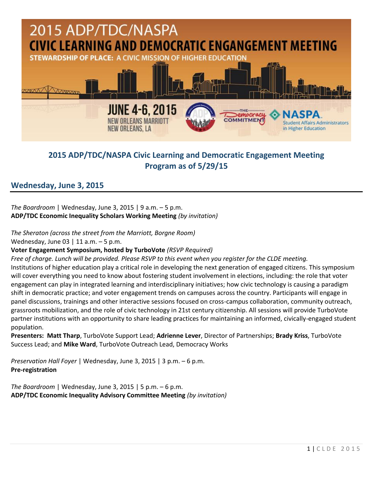

# **2015 ADP/TDC/NASPA Civic Learning and Democratic Engagement Meeting Program as of 5/29/15**

# **Wednesday, June 3, 2015**

*The Boardroom* | Wednesday, June 3, 2015 | 9 a.m. – 5 p.m. **ADP/TDC Economic Inequality Scholars Working Meeting** *(by invitation)*

*The Sheraton (across the street from the Marriott, Borgne Room)*

Wednesday, June 03 | 11 a.m.  $-5$  p.m.

# **Voter Engagement Symposium, hosted by TurboVote** *(RSVP Required)*

*Free of charge. Lunch will be provided. Please RSVP to this event when you register for the CLDE meeting.*  Institutions of higher education play a critical role in developing the next generation of engaged citizens. This symposium will cover everything you need to know about fostering student involvement in elections, including: the role that voter engagement can play in integrated learning and interdisciplinary initiatives; how civic technology is causing a paradigm shift in democratic practice; and voter engagement trends on campuses across the country. Participants will engage in panel discussions, trainings and other interactive sessions focused on cross-campus collaboration, community outreach, grassroots mobilization, and the role of civic technology in 21st century citizenship. All sessions will provide TurboVote partner institutions with an opportunity to share leading practices for maintaining an informed, civically-engaged student population.

**Presenters: Matt Tharp**, TurboVote Support Lead; **Adrienne Lever**, Director of Partnerships; **Brady Kriss**, TurboVote Success Lead; and **Mike Ward**, TurboVote Outreach Lead, Democracy Works

*Preservation Hall Foyer* | Wednesday, June 3, 2015 | 3 p.m. – 6 p.m. **Pre-registration**

*The Boardroom* | Wednesday, June 3, 2015 | 5 p.m. – 6 p.m. **ADP/TDC Economic Inequality Advisory Committee Meeting** *(by invitation)*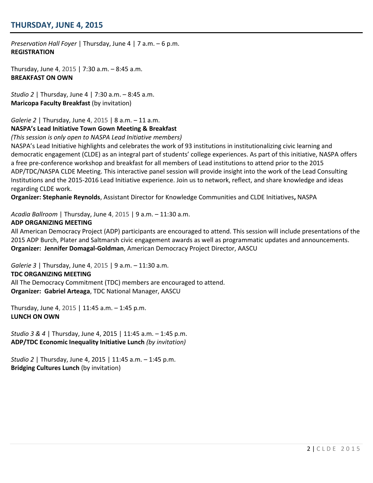# **THURSDAY, JUNE 4, 2015**

*Preservation Hall Foyer* | Thursday, June 4 | 7 a.m. – 6 p.m. **REGISTRATION**

Thursday, June 4, 2015 | 7:30 a.m. – 8:45 a.m. **BREAKFAST ON OWN**

*Studio 2* | Thursday, June 4 | 7:30 a.m. – 8:45 a.m. **Maricopa Faculty Breakfast** (by invitation)

*Galerie 2* | Thursday, June 4, 2015 | 8 a.m. – 11 a.m.

### **NASPA's Lead Initiative Town Gown Meeting & Breakfast**

*(This session is only open to NASPA Lead Initiative members)*

NASPA's Lead Initiative highlights and celebrates the work of 93 institutions in institutionalizing civic learning and democratic engagement (CLDE) as an integral part of students' college experiences. As part of this initiative, NASPA offers a free pre-conference workshop and breakfast for all members of Lead institutions to attend prior to the 2015 ADP/TDC/NASPA CLDE Meeting. This interactive panel session will provide insight into the work of the Lead Consulting Institutions and the 2015-2016 Lead Initiative experience. Join us to network, reflect, and share knowledge and ideas regarding CLDE work.

**Organizer: Stephanie Reynolds**, Assistant Director for Knowledge Communities and CLDE Initiatives**,** NASPA

*Acadia Ballroom* | Thursday, June 4, 2015 | 9 a.m. – 11:30 a.m.

#### **ADP ORGANIZING MEETING**

All American Democracy Project (ADP) participants are encouraged to attend. This session will include presentations of the 2015 ADP Burch, Plater and Saltmarsh civic engagement awards as well as programmatic updates and announcements. **Organizer: Jennifer Domagal-Goldman**, American Democracy Project Director, AASCU

*Galerie 3* | Thursday, June 4, 2015 | 9 a.m. – 11:30 a.m.

#### **TDC ORGANIZING MEETING**

All The Democracy Commitment (TDC) members are encouraged to attend. **Organizer: Gabriel Arteaga**, TDC National Manager, AASCU

Thursday, June 4, 2015 | 11:45 a.m. – 1:45 p.m. **LUNCH ON OWN**

*Studio 3 & 4* | Thursday, June 4, 2015 | 11:45 a.m. – 1:45 p.m. **ADP/TDC Economic Inequality Initiative Lunch** *(by invitation)*

*Studio 2* | Thursday, June 4, 2015 | 11:45 a.m. – 1:45 p.m. **Bridging Cultures Lunch** (by invitation)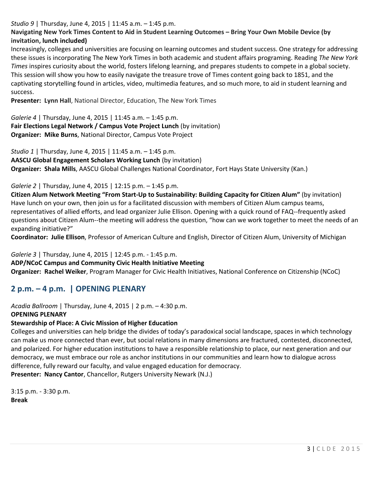## *Studio 9* | Thursday, June 4, 2015 | 11:45 a.m. – 1:45 p.m.

# **Navigating New York Times Content to Aid in Student Learning Outcomes – Bring Your Own Mobile Device (by invitation, lunch included)**

Increasingly, colleges and universities are focusing on learning outcomes and student success. One strategy for addressing these issues is incorporating The New York Times in both academic and student affairs programing. Reading *The New York Times* inspires curiosity about the world, fosters lifelong learning, and prepares students to compete in a global society. This session will show you how to easily navigate the treasure trove of Times content going back to 1851, and the captivating storytelling found in articles, video, multimedia features, and so much more, to aid in student learning and success.

**Presenter: Lynn Hall**, National Director, Education, The New York Times

*Galerie 4* | Thursday, June 4, 2015 | 11:45 a.m. – 1:45 p.m. **Fair Elections Legal Network / Campus Vote Project Lunch** (by invitation) **Organizer: Mike Burns**, National Director, Campus Vote Project

*Studio 1* | Thursday, June 4, 2015 | 11:45 a.m. – 1:45 p.m. **AASCU Global Engagement Scholars Working Lunch** (by invitation) **Organizer: Shala Mills**, AASCU Global Challenges National Coordinator, Fort Hays State University (Kan.)

## *Galerie 2* | Thursday, June 4, 2015 | 12:15 p.m. – 1:45 p.m.

**Citizen Alum Network Meeting "From Start-Up to Sustainability: Building Capacity for Citizen Alum"** (by invitation) Have lunch on your own, then join us for a facilitated discussion with members of Citizen Alum campus teams, representatives of allied efforts, and lead organizer Julie Ellison. Opening with a quick round of FAQ--frequently asked questions about Citizen Alum--the meeting will address the question, "how can we work together to meet the needs of an expanding initiative?"

**Coordinator: Julie Ellison**, Professor of American Culture and English, Director of Citizen Alum, University of Michigan

*Galerie 3* | Thursday, June 4, 2015 | 12:45 p.m. - 1:45 p.m.

### **ADP/NCoC Campus and Community Civic Health Initiative Meeting**

**Organizer: Rachel Weiker**, Program Manager for Civic Health Initiatives, National Conference on Citizenship (NCoC)

# **2 p.m. – 4 p.m. | OPENING PLENARY**

*Acadia Ballroom* | Thursday, June 4, 2015 | 2 p.m. – 4:30 p.m.

### **OPENING PLENARY**

# **Stewardship of Place: A Civic Mission of Higher Education**

Colleges and universities can help bridge the divides of today's paradoxical social landscape, spaces in which technology can make us more connected than ever, but social relations in many dimensions are fractured, contested, disconnected, and polarized. For higher education institutions to have a responsible relationship to place, our next generation and our democracy, we must embrace our role as anchor institutions in our communities and learn how to dialogue across difference, fully reward our faculty, and value engaged education for democracy.

**Presenter: [Nancy Cantor](http://www.aascu.org/meetings/clde15/?view=speakers#cantor)**, Chancellor, Rutgers University Newark (N.J.)

3:15 p.m. - 3:30 p.m. **Break**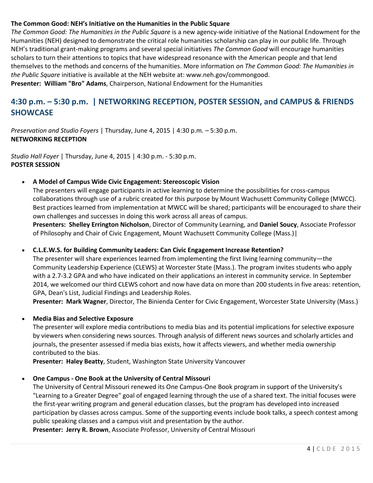### **The Common Good: NEH's Initiative on the Humanities in the Public Square**

*The Common Good: The Humanities in the Public Square* is a new agency-wide initiative of the National Endowment for the Humanities (NEH) designed to demonstrate the critical role humanities scholarship can play in our public life. Through NEH's traditional grant-making programs and several special initiatives *The Common Good* will encourage humanities scholars to turn their attentions to topics that have widespread resonance with the American people and that lend themselves to the methods and concerns of the humanities. More information *on The Common Good: The Humanities in the Public Square* initiative is available at the NEH website at[: www.neh.gov/commongood.](http://www.neh.gov/commongood) **Presenter: [William "Bro" Adams](http://www.aascu.org/meetings/clde15/?view=speakers#adams)**, Chairperson, National Endowment for the Humanities

# **4:30 p.m. – 5:30 p.m. | NETWORKING RECEPTION, POSTER SESSION, and CAMPUS & FRIENDS SHOWCASE**

*Preservation and Studio Foyers* | Thursday, June 4, 2015 | 4:30 p.m. – 5:30 p.m. **NETWORKING RECEPTION**

*Studio Hall Foyer* | Thursday, June 4, 2015 | 4:30 p.m. - 5:30 p.m. **POSTER SESSION**

**A Model of Campus Wide Civic Engagement: Stereoscopic Vision**

The presenters will engage participants in active learning to determine the possibilities for cross-campus collaborations through use of a rubric created for this purpose by Mount Wachusett Community College (MWCC). Best practices learned from implementation at MWCC will be shared; participants will be encouraged to share their own challenges and successes in doing this work across all areas of campus.

**Presenters: Shelley Errington Nicholson**, Director of Community Learning, and **Daniel Soucy**, Associate Professor of Philosophy and Chair of Civic Engagement, Mount Wachusett Community College (Mass.)|

**C.L.E.W.S. for Building Community Leaders: Can Civic Engagement Increase Retention?**

The presenter will share experiences learned from implementing the first living learning community—the Community Leadership Experience (CLEWS) at Worcester State (Mass.). The program invites students who apply with a 2.7-3.2 GPA and who have indicated on their applications an interest in community service. In September 2014, we welcomed our third CLEWS cohort and now have data on more than 200 students in five areas: retention, GPA, Dean's List, Judicial Findings and Leadership Roles.

**Presenter: Mark Wagner**, Director, The Binienda Center for Civic Engagement, Worcester State University (Mass.)

### **Media Bias and Selective Exposure**

The presenter will explore media contributions to media bias and its potential implications for selective exposure by viewers when considering news sources. Through analysis of different news sources and scholarly articles and journals, the presenter assessed if media bias exists, how it affects viewers, and whether media ownership contributed to the bias.

**Presenter: Haley Beatty**, Student, Washington State University Vancouver

#### **One Campus - One Book at the University of Central Missouri**

The University of Central Missouri renewed its One Campus-One Book program in support of the University's "Learning to a Greater Degree" goal of engaged learning through the use of a shared text. The initial focuses were the first-year writing program and general education classes, but the program has developed into increased participation by classes across campus. Some of the supporting events include book talks, a speech contest among public speaking classes and a campus visit and presentation by the author.

**Presenter: Jerry R. Brown**, Associate Professor, University of Central Missouri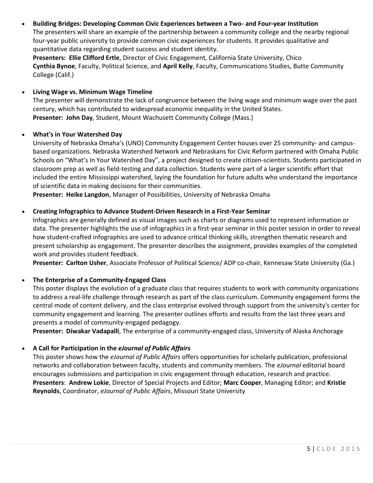# **Building Bridges: Developing Common Civic Experiences between a Two- and Four-year Institution**

The presenters will share an example of the partnership between a community college and the nearby regional four-year public university to provide common civic experiences for students. It provides qualitative and quantitative data regarding student success and student identity.

**Presenters: Ellie Clifford Ertle**, Director of Civic Engagement, California State University, Chico **Cynthia Bynoe**, Faculty, Political Science, and **April Kelly**, Faculty, Communications Studies, Butte Community College (Calif.)

## **Living Wage vs. Minimum Wage Timeline**

The presenter will demonstrate the lack of congruence between the living wage and minimum wage over the past century, which has contributed to widespread economic inequality in the United States. **Presenter: John Day**, Student, Mount Wachusett Community College (Mass.)

## **What's in Your Watershed Day**

University of Nebraska Omaha's (UNO) Community Engagement Center houses over 25 community- and campusbased organizations. Nebraska Watershed Network and Nebraskans for Civic Reform partnered with Omaha Public Schools on "What's In Your Watershed Day", a project designed to create citizen-scientists. Students participated in classroom prep as well as field-testing and data collection. Students were part of a larger scientific effort that included the entire Mississippi watershed, laying the foundation for future adults who understand the importance of scientific data in making decisions for their communities.

**Presenter: Heike Langdon**, Manager of Possibilities, University of Nebraska Omaha

## **Creating Infographics to Advance Student-Driven Research in a First-Year Seminar**

Infographics are generally defined as visual images such as charts or diagrams used to represent information or data. The presenter highlights the use of infographics in a first-year seminar in this poster session in order to reveal how student-crafted infographics are used to advance critical thinking skills, strengthen thematic research and present scholarship as engagement. The presenter describes the assignment, provides examples of the completed work and provides student feedback.

**Presenter: Carlton Usher**, Associate Professor of Political Science/ ADP co-chair, Kennesaw State University (Ga.)

# **The Enterprise of a Community-Engaged Class**

This poster displays the evolution of a graduate class that requires students to work with community organizations to address a real-life challenge through research as part of the class curriculum. Community engagement forms the central mode of content delivery, and the class enterprise evolved through support from the university's center for community engagement and learning. The presenter outlines efforts and results from the last three years and presents a model of community-engaged pedagogy.

**Presenter: Diwakar Vadapalli**, The enterprise of a community-engaged class, University of Alaska Anchorage

# **A Call for Participation in the** *eJournal of Public Affairs*

This poster shows how the *eJournal of Public Affairs* offers opportunities for scholarly publication, professional networks and collaboration between faculty, students and community members. The *eJournal* editorial board encourages submissions and participation in civic engagement through education, research and practice. **Presenters**: **Andrew Lokie**, Director of Special Projects and Editor; **Marc Cooper**, Managing Editor; and **Kristie Reynolds**, Coordinator, *eJournal of Public Affairs*, Missouri State University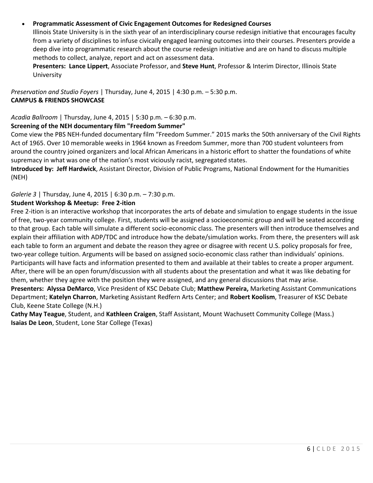# **Programmatic Assessment of Civic Engagement Outcomes for Redesigned Courses**

Illinois State University is in the sixth year of an interdisciplinary course redesign initiative that encourages faculty from a variety of disciplines to infuse civically engaged learning outcomes into their courses. Presenters provide a deep dive into programmatic research about the course redesign initiative and are on hand to discuss multiple methods to collect, analyze, report and act on assessment data.

**Presenters: Lance Lippert**, Associate Professor, and **Steve Hunt**, Professor & Interim Director, Illinois State University

*Preservation and Studio Foyers* | Thursday, June 4, 2015 | 4:30 p.m. – 5:30 p.m. **CAMPUS & FRIENDS SHOWCASE**

*Acadia Ballroom* | Thursday, June 4, 2015 | 5:30 p.m. – 6:30 p.m.

### **Screening of the NEH documentary film "Freedom Summer"**

Come view the PBS NEH-funded documentary film "Freedom Summer." 2015 marks the 50th anniversary of the Civil Rights Act of 1965. Over 10 memorable weeks in 1964 known as Freedom Summer, more than 700 student volunteers from around the country joined organizers and local African Americans in a historic effort to shatter the foundations of white supremacy in what was one of the nation's most viciously racist, segregated states.

**Introduced by: Jeff Hardwick**, Assistant Director, Division of Public Programs, National Endowment for the Humanities (NEH)

# *Galerie 3* | Thursday, June 4, 2015 | 6:30 p.m. – 7:30 p.m.

### **Student Workshop & Meetup: Free 2-ition**

Free 2-ition is an interactive workshop that incorporates the arts of debate and simulation to engage students in the issue of free, two-year community college. First, students will be assigned a socioeconomic group and will be seated according to that group. Each table will simulate a different socio-economic class. The presenters will then introduce themselves and explain their affiliation with ADP/TDC and introduce how the debate/simulation works. From there, the presenters will ask each table to form an argument and debate the reason they agree or disagree with recent U.S. policy proposals for free, two-year college tuition. Arguments will be based on assigned socio-economic class rather than individuals' opinions. Participants will have facts and information presented to them and available at their tables to create a proper argument. After, there will be an open forum/discussion with all students about the presentation and what it was like debating for them, whether they agree with the position they were assigned, and any general discussions that may arise. **Presenters: Alyssa DeMarco**, Vice President of KSC Debate Club; **Matthew Pereira,** Marketing Assistant Communications Department; **Katelyn Charron**, Marketing Assistant Redfern Arts Center; and **Robert Koolism**, Treasurer of KSC Debate Club, Keene State College (N.H.)

**Cathy May Teague**, Student, and **Kathleen Craigen**, Staff Assistant, Mount Wachusett Community College (Mass.) **Isaias De Leon**, Student, Lone Star College (Texas)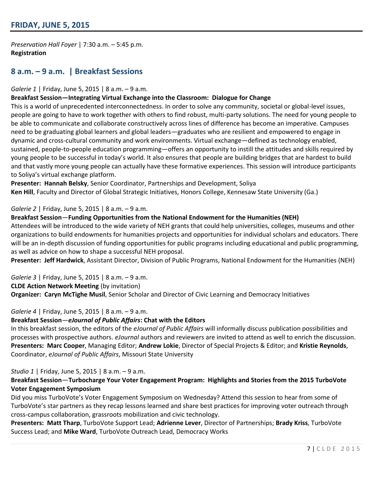*Preservation Hall Foyer* | 7:30 a.m. – 5:45 p.m. **Registration**

# **8 a.m. – 9 a.m. | Breakfast Sessions**

#### *Galerie 1* | Friday, June 5, 2015 | 8 a.m. – 9 a.m.

#### **Breakfast Session—Integrating Virtual Exchange into the Classroom: Dialogue for Change**

This is a world of unprecedented interconnectedness. In order to solve any community, societal or global-level issues, people are going to have to work together with others to find robust, multi-party solutions. The need for young people to be able to communicate and collaborate constructively across lines of difference has become an imperative. Campuses need to be graduating global learners and global leaders—graduates who are resilient and empowered to engage in dynamic and cross-cultural community and work environments. Virtual exchange—defined as technology enabled, sustained, people-to-people education programming—offers an opportunity to instill the attitudes and skills required by young people to be successful in today's world. It also ensures that people are building bridges that are hardest to build and that vastly more young people can actually have these formative experiences. This session will introduce participants to Soliya's virtual exchange platform.

**Presenter: Hannah Belsky**, Senior Coordinator, Partnerships and Development, Soliya **Ken Hill**, Faculty and Director of Global Strategic Initiatives, Honors College, Kennesaw State University (Ga.)

#### *Galerie 2* | Friday, June 5, 2015 | 8 a.m. – 9 a.m.

#### **Breakfast Session**—**Funding Opportunities from the National Endowment for the Humanities (NEH)**

Attendees will be introduced to the wide variety of NEH grants that could help universities, colleges, museums and other organizations to build endowments for humanities projects and opportunities for individual scholars and educators. There will be an in-depth discussion of funding opportunities for public programs including educational and public programming, as well as advice on how to shape a successful NEH proposal.

**Presenter: Jeff Hardwick**, Assistant Director, Division of Public Programs, National Endowment for the Humanities (NEH)

*Galerie 3* | Friday, June 5, 2015 | 8 a.m. – 9 a.m.

**CLDE Action Network Meeting** (by invitation)

**Organizer: Caryn McTighe Musil**, Senior Scholar and Director of Civic Learning and Democracy Initiatives

### *Galerie 4* | Friday, June 5, 2015 | 8 a.m. – 9 a.m.

#### **Breakfast Session**—*eJournal of Public Affairs***: Chat with the Editors**

In this breakfast session, the editors of the *eJournal of Public Affairs* will informally discuss publication possibilities and processes with prospective authors. *eJournal* authors and reviewers are invited to attend as well to enrich the discussion. **Presenters: Marc Cooper**, Managing Editor; **Andrew Lokie**, Director of Special Projects & Editor; and **Kristie Reynolds**, Coordinator, *eJournal of Public Affairs*, Missouri State University

#### *Studio 1* | Friday, June 5, 2015 | 8 a.m. – 9 a.m.

# **Breakfast Session**—**Turbocharge Your Voter Engagement Program: Highlights and Stories from the 2015 TurboVote Voter Engagement Symposium**

Did you miss TurboVote's Voter Engagement Symposium on Wednesday? Attend this session to hear from some of TurboVote's star partners as they recap lessons learned and share best practices for improving voter outreach through cross-campus collaboration, grassroots mobilization and civic technology.

**Presenters: Matt Tharp**, TurboVote Support Lead; **Adrienne Lever**, Director of Partnerships; **Brady Kriss**, TurboVote Success Lead; and **Mike Ward**, TurboVote Outreach Lead, Democracy Works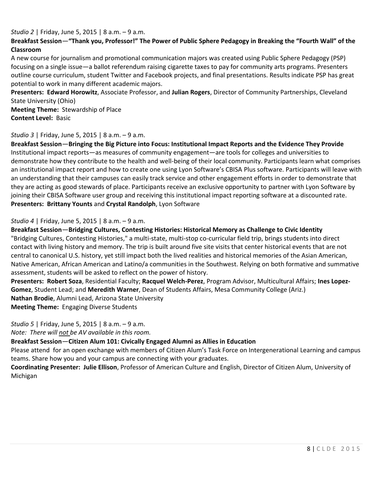*Studio 2* | Friday, June 5, 2015 | 8 a.m. – 9 a.m.

# **Breakfast Session**—**"Thank you, Professor!" The Power of Public Sphere Pedagogy in Breaking the "Fourth Wall" of the Classroom**

A new course for journalism and promotional communication majors was created using Public Sphere Pedagogy (PSP) focusing on a single issue—a ballot referendum raising cigarette taxes to pay for community arts programs. Presenters outline course curriculum, student Twitter and Facebook projects, and final presentations. Results indicate PSP has great potential to work in many different academic majors.

**Presenters: Edward Horowitz**, Associate Professor, and **Julian Rogers**, Director of Community Partnerships, Cleveland State University (Ohio)

**Meeting Theme:** Stewardship of Place **Content Level:** Basic

### *Studio 3* | Friday, June 5, 2015 | 8 a.m. – 9 a.m.

**Breakfast Session**—**Bringing the Big Picture into Focus: Institutional Impact Reports and the Evidence They Provide** Institutional impact reports—as measures of community engagement—are tools for colleges and universities to demonstrate how they contribute to the health and well-being of their local community. Participants learn what comprises an institutional impact report and how to create one using Lyon Software's CBISA Plus software. Participants will leave with an understanding that their campuses can easily track service and other engagement efforts in order to demonstrate that they are acting as good stewards of place. Participants receive an exclusive opportunity to partner with Lyon Software by joining their CBISA Software user group and receiving this institutional impact reporting software at a discounted rate. **Presenters: Brittany Younts** and **Crystal Randolph**, Lyon Software

*Studio 4* | Friday, June 5, 2015 | 8 a.m. – 9 a.m.

**Breakfast Session**—**Bridging Cultures, Contesting Histories: Historical Memory as Challenge to Civic Identity**

"Bridging Cultures, Contesting Histories," a multi-state, multi-stop co-curricular field trip, brings students into direct contact with living history and memory. The trip is built around five site visits that center historical events that are not central to canonical U.S. history, yet still impact both the lived realities and historical memories of the Asian American, Native American, African American and Latino/a communities in the Southwest. Relying on both formative and summative assessment, students will be asked to reflect on the power of history.

**Presenters: Robert Soza**, Residential Faculty; **Racquel Welch-Perez**, Program Advisor, Multicultural Affairs; **Ines Lopez-Gomez**, Student Lead; and **Meredith Warner**, Dean of Students Affairs, Mesa Community College (Ariz.) **Nathan Brodie**, Alumni Lead, Arizona State University **Meeting Theme:** Engaging Diverse Students

*Studio 5* | Friday, June 5, 2015 | 8 a.m. – 9 a.m.

*Note: There will not be AV available in this room.* 

### **Breakfast Session**—**Citizen Alum 101: Civically Engaged Alumni as Allies in Education**

Please attend for an open exchange with members of Citizen Alum's Task Force on Intergenerational Learning and campus teams. Share how you and your campus are connecting with your graduates.

**Coordinating Presenter: Julie Ellison**, Professor of American Culture and English, Director of Citizen Alum, University of Michigan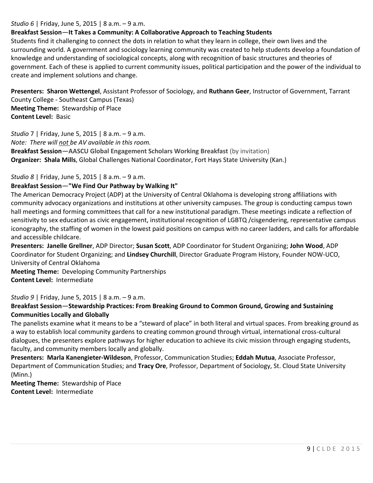### *Studio 6* | Friday, June 5, 2015 | 8 a.m. – 9 a.m.

## **Breakfast Session**—**It Takes a Community: A Collaborative Approach to Teaching Students**

Students find it challenging to connect the dots in relation to what they learn in college, their own lives and the surrounding world. A government and sociology learning community was created to help students develop a foundation of knowledge and understanding of sociological concepts, along with recognition of basic structures and theories of government. Each of these is applied to current community issues, political participation and the power of the individual to create and implement solutions and change.

**Presenters: Sharon Wettengel**, Assistant Professor of Sociology, and **Ruthann Geer**, Instructor of Government, Tarrant County College - Southeast Campus (Texas) **Meeting Theme:** Stewardship of Place **Content Level:** Basic

*Studio* 7 | Friday, June 5, 2015 | 8 a.m. – 9 a.m.

*Note: There will not be AV available in this room.* 

**Breakfast Session**—**AASCU Global Engagement Scholars Working Breakfast** (by invitation) **Organizer: Shala Mills**, Global Challenges National Coordinator, Fort Hays State University (Kan.)

*Studio 8* | Friday, June 5, 2015 | 8 a.m. – 9 a.m.

#### **Breakfast Session**—**"We Find Our Pathway by Walking It"**

The American Democracy Project (ADP) at the University of Central Oklahoma is developing strong affiliations with community advocacy organizations and institutions at other university campuses. The group is conducting campus town hall meetings and forming committees that call for a new institutional paradigm. These meetings indicate a reflection of sensitivity to sex education as civic engagement, institutional recognition of LGBTQ /cisgendering, representative campus iconography, the staffing of women in the lowest paid positions on campus with no career ladders, and calls for affordable and accessible childcare.

**Presenters: Janelle Grellner**, ADP Director; **Susan Scott**, ADP Coordinator for Student Organizing; **John Wood**, ADP Coordinator for Student Organizing; and **Lindsey Churchill**, Director Graduate Program History, Founder NOW-UCO, University of Central Oklahoma

**Meeting Theme:** Developing Community Partnerships **Content Level:** Intermediate

### *Studio 9* | Friday, June 5, 2015 | 8 a.m. – 9 a.m.

### **Breakfast Session**—**Stewardship Practices: From Breaking Ground to Common Ground, Growing and Sustaining Communities Locally and Globally**

The panelists examine what it means to be a "steward of place" in both literal and virtual spaces. From breaking ground as a way to establish local community gardens to creating common ground through virtual, international cross-cultural dialogues, the presenters explore pathways for higher education to achieve its civic mission through engaging students, faculty, and community members locally and globally.

**Presenters: Marla Kanengieter-Wildeson**, Professor, Communication Studies; **Eddah Mutua**, Associate Professor, Department of Communication Studies; and **Tracy Ore**, Professor, Department of Sociology, St. Cloud State University (Minn.)

**Meeting Theme:** Stewardship of Place **Content Level:** Intermediate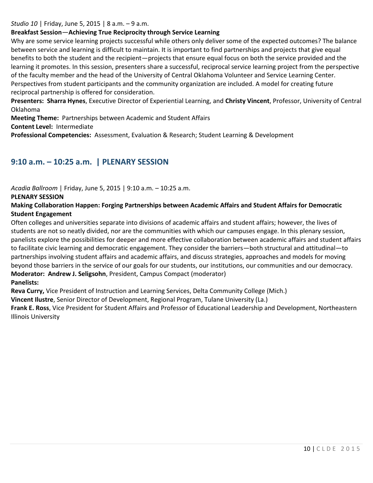*Studio 10* | Friday, June 5, 2015 | 8 a.m. – 9 a.m.

## **Breakfast Session**—**Achieving True Reciprocity through Service Learning**

Why are some service learning projects successful while others only deliver some of the expected outcomes? The balance between service and learning is difficult to maintain. It is important to find partnerships and projects that give equal benefits to both the student and the recipient—projects that ensure equal focus on both the service provided and the learning it promotes. In this session, presenters share a successful, reciprocal service learning project from the perspective of the faculty member and the head of the University of Central Oklahoma Volunteer and Service Learning Center. Perspectives from student participants and the community organization are included. A model for creating future reciprocal partnership is offered for consideration.

**Presenters: Sharra Hynes**, Executive Director of Experiential Learning, and **Christy Vincent**, Professor, University of Central Oklahoma

**Meeting Theme:** Partnerships between Academic and Student Affairs

**Content Level:** Intermediate

**Professional Competencies:** Assessment, Evaluation & Research; Student Learning & Development

# **9:10 a.m. – 10:25 a.m. | PLENARY SESSION**

*Acadia Ballroom* | Friday, June 5, 2015 | 9:10 a.m. – 10:25 a.m.

### **PLENARY SESSION**

**Making Collaboration Happen: Forging Partnerships between Academic Affairs and Student Affairs for Democratic Student Engagement**

Often colleges and universities separate into divisions of academic affairs and student affairs; however, the lives of students are not so neatly divided, nor are the communities with which our campuses engage. In this plenary session, panelists explore the possibilities for deeper and more effective collaboration between academic affairs and student affairs to facilitate civic learning and democratic engagement. They consider the barriers—both structural and attitudinal—to partnerships involving student affairs and academic affairs, and discuss strategies, approaches and models for moving beyond those barriers in the service of our goals for our students, our institutions, our communities and our democracy. **Moderator: [Andrew J. Seligsohn](http://www.aascu.org/meetings/clde15/?view=speakers#seligsohn)**, President, Campus Compact (moderator)

**Panelists:** 

**Reva Curry,** Vice President of Instruction and Learning Services, Delta Community College (Mich.)

**Vincent Ilustre**, Senior Director of Development, Regional Program, Tulane University (La.)

**[Frank E. Ross](http://www.aascu.org/meetings/clde15/?view=speakers#ross)**, Vice President for Student Affairs and Professor of Educational Leadership and Development, Northeastern Illinois University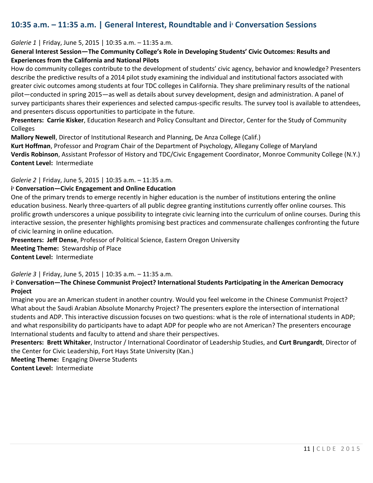# **10:35 a.m. – 11:35 a.m. | General Interest, Roundtable and i<sup>3</sup> Conversation Sessions**

#### *Galerie 1* | Friday, June 5, 2015 | 10:35 a.m. – 11:35 a.m.

## **General Interest Session—The Community College's Role in Developing Students' Civic Outcomes: Results and Experiences from the California and National Pilots**

How do community colleges contribute to the development of students' civic agency, behavior and knowledge? Presenters describe the predictive results of a 2014 pilot study examining the individual and institutional factors associated with greater civic outcomes among students at four TDC colleges in California. They share preliminary results of the national pilot—conducted in spring 2015—as well as details about survey development, design and administration. A panel of survey participants shares their experiences and selected campus-specific results. The survey tool is available to attendees, and presenters discuss opportunities to participate in the future.

**Presenters: Carrie Kisker**, Education Research and Policy Consultant and Director, Center for the Study of Community Colleges

**Mallory Newell**, Director of Institutional Research and Planning, De Anza College (Calif.)

**Kurt Hoffman**, Professor and Program Chair of the Department of Psychology, Allegany College of Maryland **Verdis Robinson**, Assistant Professor of History and TDC/Civic Engagement Coordinator, Monroe Community College (N.Y.) **Content Level:** Intermediate

#### *Galerie 2* | Friday, June 5, 2015 | 10:35 a.m. – 11:35 a.m.

#### **i <sup>3</sup> Conversation—Civic Engagement and Online Education**

One of the primary trends to emerge recently in higher education is the number of institutions entering the online education business. Nearly three-quarters of all public degree granting institutions currently offer online courses. This prolific growth underscores a unique possibility to integrate civic learning into the curriculum of online courses. During this interactive session, the presenter highlights promising best practices and commensurate challenges confronting the future of civic learning in online education.

**Presenters: Jeff Dense**, Professor of Political Science, Eastern Oregon University **Meeting Theme:** Stewardship of Place **Content Level:** Intermediate

*Galerie 3* | Friday, June 5, 2015 | 10:35 a.m. – 11:35 a.m.

### **i <sup>3</sup> Conversation—The Chinese Communist Project? International Students Participating in the American Democracy Project**

Imagine you are an American student in another country. Would you feel welcome in the Chinese Communist Project? What about the Saudi Arabian Absolute Monarchy Project? The presenters explore the intersection of international students and ADP. This interactive discussion focuses on two questions: what is the role of international students in ADP; and what responsibility do participants have to adapt ADP for people who are not American? The presenters encourage International students and faculty to attend and share their perspectives.

**Presenters: Brett Whitaker**, Instructor / International Coordinator of Leadership Studies, and **Curt Brungardt**, Director of the Center for Civic Leadership, Fort Hays State University (Kan.)

**Meeting Theme:** Engaging Diverse Students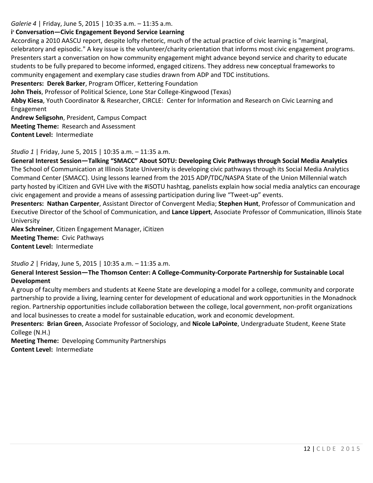*Galerie 4* | Friday, June 5, 2015 | 10:35 a.m. – 11:35 a.m.

### **i <sup>3</sup> Conversation—Civic Engagement Beyond Service Learning**

According a 2010 AASCU report, despite lofty rhetoric, much of the actual practice of civic learning is "marginal, celebratory and episodic." A key issue is the volunteer/charity orientation that informs most civic engagement programs. Presenters start a conversation on how community engagement might advance beyond service and charity to educate students to be fully prepared to become informed, engaged citizens. They address new conceptual frameworks to community engagement and exemplary case studies drawn from ADP and TDC institutions.

**Presenters: Derek Barker**, Program Officer, Kettering Foundation

**John Theis**, Professor of Political Science, Lone Star College-Kingwood (Texas)

**Abby Kiesa**, Youth Coordinator & Researcher, CIRCLE: Center for Information and Research on Civic Learning and Engagement

**Andrew Seligsohn**, President, Campus Compact **Meeting Theme:** Research and Assessment **Content Level:** Intermediate

*Studio 1* | Friday, June 5, 2015 | 10:35 a.m. – 11:35 a.m.

**General Interest Session—Talking "SMACC" About SOTU: Developing Civic Pathways through Social Media Analytics** The School of Communication at Illinois State University is developing civic pathways through its Social Media Analytics Command Center (SMACC). Using lessons learned from the 2015 ADP/TDC/NASPA State of the Union Millennial watch party hosted by iCitizen and GVH Live with the #iSOTU hashtag, panelists explain how social media analytics can encourage civic engagement and provide a means of assessing participation during live "Tweet-up" events.

**Presenters: Nathan Carpenter**, Assistant Director of Convergent Media; **Stephen Hunt**, Professor of Communication and Executive Director of the School of Communication, and **Lance Lippert**, Associate Professor of Communication, Illinois State University

**Alex Schreiner**, Citizen Engagement Manager, iCitizen **Meeting Theme:** Civic Pathways **Content Level:** Intermediate

*Studio 2* | Friday, June 5, 2015 | 10:35 a.m. – 11:35 a.m.

**General Interest Session—The Thomson Center: A College-Community-Corporate Partnership for Sustainable Local Development**

A group of faculty members and students at Keene State are developing a model for a college, community and corporate partnership to provide a living, learning center for development of educational and work opportunities in the Monadnock region. Partnership opportunities include collaboration between the college, local government, non-profit organizations and local businesses to create a model for sustainable education, work and economic development.

**Presenters: Brian Green**, Associate Professor of Sociology, and **Nicole LaPointe**, Undergraduate Student, Keene State College (N.H.)

**Meeting Theme:** Developing Community Partnerships **Content Level:** Intermediate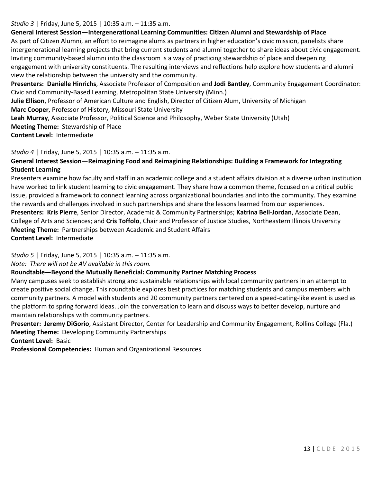## *Studio 3* | Friday, June 5, 2015 | 10:35 a.m. – 11:35 a.m.

## **General Interest Session—Intergenerational Learning Communities: Citizen Alumni and Stewardship of Place**

As part of Citizen Alumni, an effort to reimagine alums as partners in higher education's civic mission, panelists share intergenerational learning projects that bring current students and alumni together to share ideas about civic engagement. Inviting community-based alumni into the classroom is a way of practicing stewardship of place and deepening engagement with university constituents. The resulting interviews and reflections help explore how students and alumni view the relationship between the university and the community.

**Presenters: Danielle Hinrichs**, Associate Professor of Composition and **Jodi Bantley**, Community Engagement Coordinator: Civic and Community-Based Learning, Metropolitan State University (Minn.)

**Julie Ellison**, Professor of American Culture and English, Director of Citizen Alum, University of Michigan **Marc Cooper**, Professor of History, Missouri State University

**Leah Murray**, Associate Professor, Political Science and Philosophy, Weber State University (Utah)

**Meeting Theme:** Stewardship of Place

**Content Level:** Intermediate

## *Studio 4* | Friday, June 5, 2015 | 10:35 a.m. – 11:35 a.m.

# **General Interest Session—Reimagining Food and Reimagining Relationships: Building a Framework for Integrating Student Learning**

Presenters examine how faculty and staff in an academic college and a student affairs division at a diverse urban institution have worked to link student learning to civic engagement. They share how a common theme, focused on a critical public issue, provided a framework to connect learning across organizational boundaries and into the community. They examine the rewards and challenges involved in such partnerships and share the lessons learned from our experiences. **Presenters: Kris Pierre**, Senior Director, Academic & Community Partnerships; **Katrina Bell-Jordan**, Associate Dean, College of Arts and Sciences; and **Cris Toffolo**, Chair and Professor of Justice Studies, Northeastern Illinois University

**Meeting Theme:** Partnerships between Academic and Student Affairs

**Content Level:** Intermediate

*Studio 5* | Friday, June 5, 2015 | 10:35 a.m. – 11:35 a.m.

*Note: There will not be AV available in this room.* 

# **Roundtable—Beyond the Mutually Beneficial: Community Partner Matching Process**

Many campuses seek to establish strong and sustainable relationships with local community partners in an attempt to create positive social change. This roundtable explores best practices for matching students and campus members with community partners. A model with students and 20 community partners centered on a speed-dating-like event is used as the platform to spring forward ideas. Join the conversation to learn and discuss ways to better develop, nurture and maintain relationships with community partners.

**Presenter: Jeremy DiGorio**, Assistant Director, Center for Leadership and Community Engagement, Rollins College (Fla.) **Meeting Theme:** Developing Community Partnerships

**Content Level:** Basic

**Professional Competencies:** Human and Organizational Resources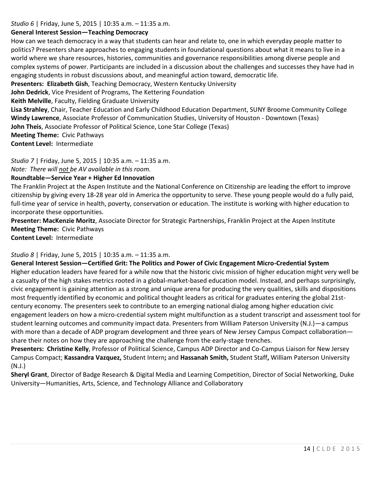*Studio 6* | Friday, June 5, 2015 | 10:35 a.m. – 11:35 a.m.

#### **General Interest Session—Teaching Democracy**

How can we teach democracy in a way that students can hear and relate to, one in which everyday people matter to politics? Presenters share approaches to engaging students in foundational questions about what it means to live in a world where we share resources, histories, communities and governance responsibilities among diverse people and complex systems of power. Participants are included in a discussion about the challenges and successes they have had in engaging students in robust discussions about, and meaningful action toward, democratic life.

**Presenters: Elizabeth Gish**, Teaching Democracy, Western Kentucky University

**John Dedrick**, Vice President of Programs, The Kettering Foundation

**Keith Melville**, Faculty, Fielding Graduate University

**Lisa Strahley**, Chair, Teacher Education and Early Childhood Education Department, SUNY Broome Community College **Windy Lawrence**, Associate Professor of Communication Studies, University of Houston - Downtown (Texas)

**John Theis**, Associate Professor of Political Science, Lone Star College (Texas)

**Meeting Theme:** Civic Pathways

**Content Level:** Intermediate

*Studio 7* | Friday, June 5, 2015 | 10:35 a.m. – 11:35 a.m.

*Note: There will not be AV available in this room.* 

## **Roundtable—Service Year + Higher Ed Innovation**

The Franklin Project at the Aspen Institute and the National Conference on Citizenship are leading the effort to improve citizenship by giving every 18-28 year old in America the opportunity to serve. These young people would do a fully paid, full-time year of service in health, poverty, conservation or education. The institute is working with higher education to incorporate these opportunities.

**Presenter: MacKenzie Moritz**, Associate Director for Strategic Partnerships, Franklin Project at the Aspen Institute **Meeting Theme:** Civic Pathways

**Content Level:** Intermediate

### *Studio 8* | Friday, June 5, 2015 | 10:35 a.m. – 11:35 a.m.

**General Interest Session—Certified Grit: The Politics and Power of Civic Engagement Micro-Credential System** Higher education leaders have feared for a while now that the historic civic mission of higher education might very well be a casualty of the high stakes metrics rooted in a global-market-based education model. Instead, and perhaps surprisingly, civic engagement is gaining attention as a strong and unique arena for producing the very qualities, skills and dispositions most frequently identified by economic and political thought leaders as critical for graduates entering the global 21stcentury economy. The presenters seek to contribute to an emerging national dialog among higher education civic engagement leaders on how a micro-credential system might multifunction as a student transcript and assessment tool for student learning outcomes and community impact data. Presenters from William Paterson University (N.J.)—a campus with more than a decade of ADP program development and three years of New Jersey Campus Compact collaboration share their notes on how they are approaching the challenge from the early-stage trenches.

**Presenters: Christine Kelly**, Professor of Political Science, Campus ADP Director and Co-Campus Liaison for New Jersey Campus Compact; **Kassandra Vazquez,** Student Intern**;** and **Hassanah Smith,** Student Staff**,** William Paterson University (N.J.)

**Sheryl Grant**, Director of Badge Research & Digital Media and Learning Competition, Director of Social Networking, Duke University—Humanities, Arts, Science, and Technology Alliance and Collaboratory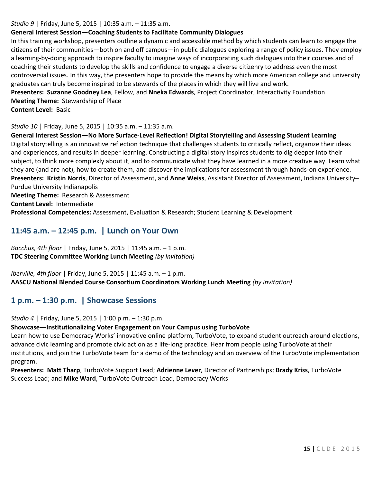#### *Studio 9* | Friday, June 5, 2015 | 10:35 a.m. – 11:35 a.m.

### **General Interest Session—Coaching Students to Facilitate Community Dialogues**

In this training workshop, presenters outline a dynamic and accessible method by which students can learn to engage the citizens of their communities—both on and off campus—in public dialogues exploring a range of policy issues. They employ a learning-by-doing approach to inspire faculty to imagine ways of incorporating such dialogues into their courses and of coaching their students to develop the skills and confidence to engage a diverse citizenry to address even the most controversial issues. In this way, the presenters hope to provide the means by which more American college and university graduates can truly become inspired to be stewards of the places in which they will live and work.

**Presenters: Suzanne Goodney Lea**, Fellow, and **Nneka Edwards**, Project Coordinator, Interactivity Foundation **Meeting Theme:** Stewardship of Place

**Content Level:** Basic

#### *Studio 10* | Friday, June 5, 2015 | 10:35 a.m. – 11:35 a.m.

**General Interest Session—No More Surface-Level Reflection! Digital Storytelling and Assessing Student Learning** Digital storytelling is an innovative reflection technique that challenges students to critically reflect, organize their ideas and experiences, and results in deeper learning. Constructing a digital story inspires students to dig deeper into their subject, to think more complexly about it, and to communicate what they have learned in a more creative way. Learn what they are (and are not), how to create them, and discover the implications for assessment through hands-on experience. **Presenters: Kristin Norris**, Director of Assessment, and **Anne Weiss**, Assistant Director of Assessment, Indiana University– Purdue University Indianapolis

**Meeting Theme:** Research & Assessment

**Content Level:** Intermediate

**Professional Competencies:** Assessment, Evaluation & Research; Student Learning & Development

# **11:45 a.m. – 12:45 p.m. | Lunch on Your Own**

*Bacchus, 4th floor* | Friday, June 5, 2015 | 11:45 a.m. – 1 p.m. **TDC Steering Committee Working Lunch Meeting** *(by invitation)*

*Iberville, 4th floor* | Friday, June 5, 2015 | 11:45 a.m. – 1 p.m. **AASCU National Blended Course Consortium Coordinators Working Lunch Meeting** *(by invitation)*

# **1 p.m. – 1:30 p.m. | Showcase Sessions**

*Studio 4* | Friday, June 5, 2015 | 1:00 p.m. – 1:30 p.m.

**Showcase—Institutionalizing Voter Engagement on Your Campus using TurboVote**

Learn how to use Democracy Works' innovative online platform, TurboVote, to expand student outreach around elections, advance civic learning and promote civic action as a life-long practice. Hear from people using TurboVote at their institutions, and join the TurboVote team for a demo of the technology and an overview of the TurboVote implementation program.

**Presenters: Matt Tharp**, TurboVote Support Lead; **Adrienne Lever**, Director of Partnerships; **Brady Kriss**, TurboVote Success Lead; and **Mike Ward**, TurboVote Outreach Lead, Democracy Works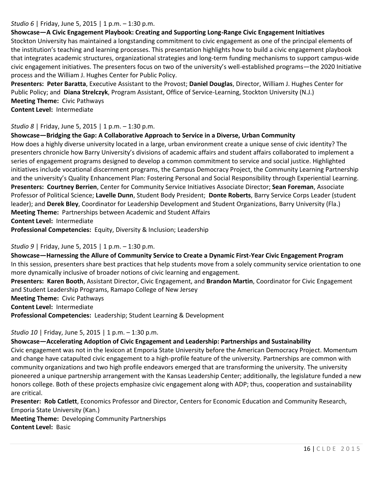### *Studio 6* | Friday, June 5, 2015 | 1 p.m. – 1:30 p.m.

## **Showcase—A Civic Engagement Playbook: Creating and Supporting Long-Range Civic Engagement Initiatives**

Stockton University has maintained a longstanding commitment to civic engagement as one of the principal elements of the institution's teaching and learning processes. This presentation highlights how to build a civic engagement playbook that integrates academic structures, organizational strategies and long-term funding mechanisms to support campus-wide civic engagement initiatives. The presenters focus on two of the university's well-established programs—the 2020 Initiative process and the William J. Hughes Center for Public Policy.

**Presenters: Peter Baratta**, Executive Assistant to the Provost; **Daniel Douglas**, Director, William J. Hughes Center for Public Policy; and **Diana Strelczyk**, Program Assistant, Office of Service-Learning, Stockton University (N.J.) **Meeting Theme:** Civic Pathways **Content Level:** Intermediate

#### *Studio 8* | Friday, June 5, 2015 | 1 p.m. – 1:30 p.m.

#### **Showcase—Bridging the Gap: A Collaborative Approach to Service in a Diverse, Urban Community**

How does a highly diverse university located in a large, urban environment create a unique sense of civic identity? The presenters chronicle how Barry University's divisions of academic affairs and student affairs collaborated to implement a series of engagement programs designed to develop a common commitment to service and social justice. Highlighted initiatives include vocational discernment programs, the Campus Democracy Project, the Community Learning Partnership and the university's Quality Enhancement Plan: Fostering Personal and Social Responsibility through Experiential Learning. **Presenters: Courtney Berrien**, Center for Community Service Initiatives Associate Director; **Sean Foreman**, Associate Professor of Political Science; **Lavelle Dunn**, Student Body President; **Donte Roberts**, Barry Service Corps Leader (student leader); and **Derek Bley**, Coordinator for Leadership Development and Student Organizations, Barry University (Fla.) **Meeting Theme:** Partnerships between Academic and Student Affairs **Content Level:** Intermediate

**Professional Competencies:** Equity, Diversity & Inclusion; Leadership

### *Studio 9* | Friday, June 5, 2015 | 1 p.m. – 1:30 p.m.

**Showcase—Harnessing the Allure of Community Service to Create a Dynamic First-Year Civic Engagement Program** In this session, presenters share best practices that help students move from a solely community service orientation to one more dynamically inclusive of broader notions of civic learning and engagement.

**Presenters: Karen Booth**, Assistant Director, Civic Engagement, and **Brandon Martin**, Coordinator for Civic Engagement and Student Leadership Programs, Ramapo College of New Jersey

**Meeting Theme:** Civic Pathways

**Content Level:** Intermediate

**Professional Competencies:** Leadership; Student Learning & Development

### *Studio 10* | Friday, June 5, 2015 | 1 p.m. – 1:30 p.m.

#### **Showcase—Accelerating Adoption of Civic Engagement and Leadership: Partnerships and Sustainability**

Civic engagement was not in the lexicon at Emporia State University before the American Democracy Project. Momentum and change have catapulted civic engagement to a high-profile feature of the university. Partnerships are common with community organizations and two high profile endeavors emerged that are transforming the university. The university pioneered a unique partnership arrangement with the Kansas Leadership Center; additionally, the legislature funded a new honors college. Both of these projects emphasize civic engagement along with ADP; thus, cooperation and sustainability are critical.

**Presenter: Rob Catlett**, Economics Professor and Director, Centers for Economic Education and Community Research, Emporia State University (Kan.)

**Meeting Theme:** Developing Community Partnerships **Content Level:** Basic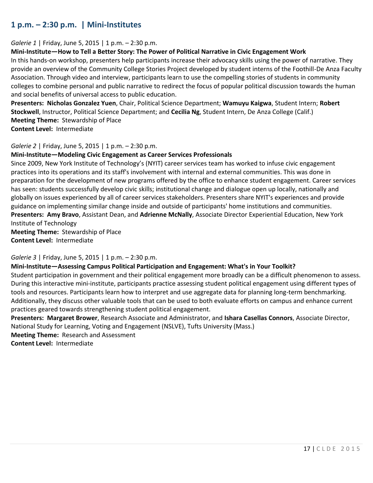# **1 p.m. – 2:30 p.m. | Mini-Institutes**

#### *Galerie 1* | Friday, June 5, 2015 | 1 p.m. – 2:30 p.m.

#### **Mini-Institute—How to Tell a Better Story: The Power of Political Narrative in Civic Engagement Work**

In this hands-on workshop, presenters help participants increase their advocacy skills using the power of narrative. They provide an overview of the Community College Stories Project developed by student interns of the Foothill-De Anza Faculty Association. Through video and interview, participants learn to use the compelling stories of students in community colleges to combine personal and public narrative to redirect the focus of popular political discussion towards the human and social benefits of universal access to public education.

**Presenters: Nicholas Gonzalez Yuen**, Chair, Political Science Department; **Wamuyu Kaigwa**, Student Intern; **Robert Stockwell**, Instructor, Political Science Department; and **Cecilia Ng**, Student Intern, De Anza College (Calif.) **Meeting Theme:** Stewardship of Place

**Content Level:** Intermediate

#### *Galerie 2* | Friday, June 5, 2015 | 1 p.m. – 2:30 p.m.

### **Mini-Institute—Modeling Civic Engagement as Career Services Professionals**

Since 2009, New York Institute of Technology's (NYIT) career services team has worked to infuse civic engagement practices into its operations and its staff's involvement with internal and external communities. This was done in preparation for the development of new programs offered by the office to enhance student engagement. Career services has seen: students successfully develop civic skills; institutional change and dialogue open up locally, nationally and globally on issues experienced by all of career services stakeholders. Presenters share NYIT's experiences and provide guidance on implementing similar change inside and outside of participants' home institutions and communities. **Presenters: Amy Bravo**, Assistant Dean, and **Adrienne McNally**, Associate Director Experiential Education, New York Institute of Technology **Meeting Theme:** Stewardship of Place

**Content Level:** Intermediate

*Galerie 3* | Friday, June 5, 2015 | 1 p.m. – 2:30 p.m.

### **Mini-Institute—Assessing Campus Political Participation and Engagement: What's in Your Toolkit?**

Student participation in government and their political engagement more broadly can be a difficult phenomenon to assess. During this interactive mini-institute, participants practice assessing student political engagement using different types of tools and resources. Participants learn how to interpret and use aggregate data for planning long-term benchmarking. Additionally, they discuss other valuable tools that can be used to both evaluate efforts on campus and enhance current practices geared towards strengthening student political engagement.

**Presenters: Margaret Brower**, Research Associate and Administrator, and **Ishara Casellas Connors**, Associate Director, National Study for Learning, Voting and Engagement (NSLVE), Tufts University (Mass.)

**Meeting Theme:** Research and Assessment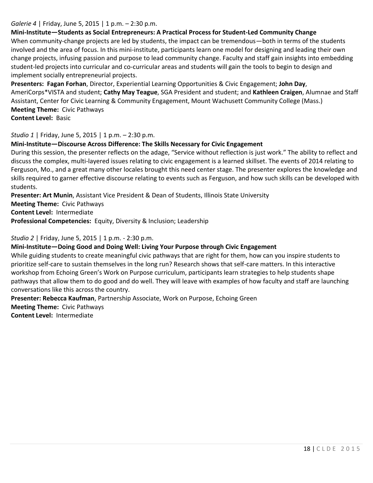## *Galerie 4* | Friday, June 5, 2015 | 1 p.m. – 2:30 p.m.

## **Mini-Institute—Students as Social Entrepreneurs: A Practical Process for Student-Led Community Change**

When community-change projects are led by students, the impact can be tremendous—both in terms of the students involved and the area of focus. In this mini-institute, participants learn one model for designing and leading their own change projects, infusing passion and purpose to lead community change. Faculty and staff gain insights into embedding student-led projects into curricular and co-curricular areas and students will gain the tools to begin to design and implement socially entrepreneurial projects.

**Presenters: Fagan Forhan**, Director, Experiential Learning Opportunities & Civic Engagement; **John Day**, AmeriCorps\*VISTA and student; **Cathy May Teague**, SGA President and student; and **Kathleen Craigen**, Alumnae and Staff Assistant, Center for Civic Learning & Community Engagement, Mount Wachusett Community College (Mass.) **Meeting Theme:** Civic Pathways **Content Level:** Basic

*Studio 1* | Friday, June 5, 2015 | 1 p.m. – 2:30 p.m.

# **Mini-Institute—Discourse Across Difference: The Skills Necessary for Civic Engagement**

During this session, the presenter reflects on the adage, "Service without reflection is just work." The ability to reflect and discuss the complex, multi-layered issues relating to civic engagement is a learned skillset. The events of 2014 relating to Ferguson, Mo., and a great many other locales brought this need center stage. The presenter explores the knowledge and skills required to garner effective discourse relating to events such as Ferguson, and how such skills can be developed with students.

**Presenter: Art Munin**, Assistant Vice President & Dean of Students, Illinois State University

**Meeting Theme:** Civic Pathways

**Content Level:** Intermediate

**Professional Competencies:** Equity, Diversity & Inclusion; Leadership

*Studio 2* | Friday, June 5, 2015 | 1 p.m. - 2:30 p.m.

### **Mini-Institute—Doing Good and Doing Well: Living Your Purpose through Civic Engagement**

While guiding students to create meaningful civic pathways that are right for them, how can you inspire students to prioritize self-care to sustain themselves in the long run? Research shows that self-care matters. In this interactive workshop from Echoing Green's Work on Purpose curriculum, participants learn strategies to help students shape pathways that allow them to do good and do well. They will leave with examples of how faculty and staff are launching conversations like this across the country.

**Presenter: Rebecca Kaufman**, Partnership Associate, Work on Purpose, Echoing Green

**Meeting Theme:** Civic Pathways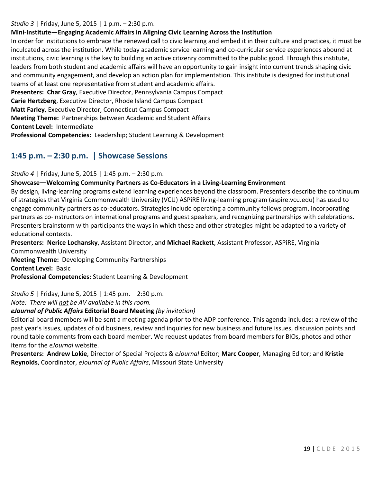#### *Studio 3* | Friday, June 5, 2015 | 1 p.m. – 2:30 p.m.

## **Mini-Institute—Engaging Academic Affairs in Aligning Civic Learning Across the Institution**

In order for institutions to embrace the renewed call to civic learning and embed it in their culture and practices, it must be inculcated across the institution. While today academic service learning and co-curricular service experiences abound at institutions, civic learning is the key to building an active citizenry committed to the public good. Through this institute, leaders from both student and academic affairs will have an opportunity to gain insight into current trends shaping civic and community engagement, and develop an action plan for implementation. This institute is designed for institutional teams of at least one representative from student and academic affairs.

**Presenters: Char Gray**, Executive Director, Pennsylvania Campus Compact

**Carie Hertzberg**, Executive Director, Rhode Island Campus Compact

**Matt Farley**, Executive Director, Connecticut Campus Compact

**Meeting Theme:** Partnerships between Academic and Student Affairs

**Content Level:** Intermediate

**Professional Competencies:** Leadership; Student Learning & Development

# **1:45 p.m. – 2:30 p.m. | Showcase Sessions**

*Studio 4* | Friday, June 5, 2015 | 1:45 p.m. – 2:30 p.m.

### **Showcase—Welcoming Community Partners as Co-Educators in a Living-Learning Environment**

By design, living-learning programs extend learning experiences beyond the classroom. Presenters describe the continuum of strategies that Virginia Commonwealth University (VCU) ASPiRE living-learning program (aspire.vcu.edu) has used to engage community partners as co-educators. Strategies include operating a community fellows program, incorporating partners as co-instructors on international programs and guest speakers, and recognizing partnerships with celebrations. Presenters brainstorm with participants the ways in which these and other strategies might be adapted to a variety of educational contexts.

**Presenters: Nerice Lochansky**, Assistant Director, and **Michael Rackett**, Assistant Professor, ASPiRE, Virginia Commonwealth University

**Meeting Theme:** Developing Community Partnerships

**Content Level:** Basic

**Professional Competencies:** Student Learning & Development

*Studio 5* | Friday, June 5, 2015 | 1:45 p.m. – 2:30 p.m.

*Note: There will not be AV available in this room.* 

# *eJournal of Public Affairs* **Editorial Board Meeting** *(by invitation)*

Editorial board members will be sent a meeting agenda prior to the ADP conference. This agenda includes: a review of the past year's issues, updates of old business, review and inquiries for new business and future issues, discussion points and round table comments from each board member. We request updates from board members for BIOs, photos and other items for the *eJournal* website.

**Presenters: Andrew Lokie**, Director of Special Projects & *eJournal* Editor; **Marc Cooper**, Managing Editor; and **Kristie Reynolds**, Coordinator, *eJournal of Public Affairs*, Missouri State University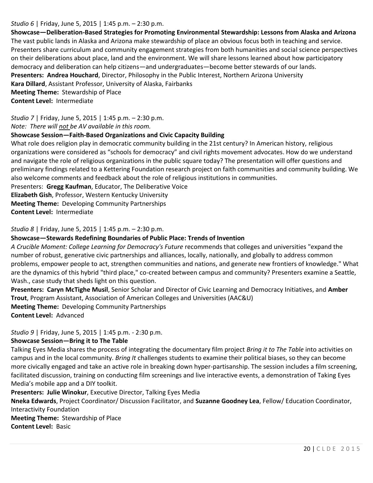### *Studio 6* | Friday, June 5, 2015 | 1:45 p.m. – 2:30 p.m.

**Showcase—Deliberation-Based Strategies for Promoting Environmental Stewardship: Lessons from Alaska and Arizona** The vast public lands in Alaska and Arizona make stewardship of place an obvious focus both in teaching and service. Presenters share curriculum and community engagement strategies from both humanities and social science perspectives on their deliberations about place, land and the environment. We will share lessons learned about how participatory democracy and deliberation can help citizens—and undergraduates—become better stewards of our lands. **Presenters: Andrea Houchard**, Director, Philosophy in the Public Interest, Northern Arizona University **Kara Dillard**, Assistant Professor, University of Alaska, Fairbanks **Meeting Theme:** Stewardship of Place **Content Level:** Intermediate

*Studio 7* | Friday, June 5, 2015 | 1:45 p.m. – 2:30 p.m. *Note: There will not be AV available in this room.* 

#### **Showcase Session—Faith-Based Organizations and Civic Capacity Building**

What role does religion play in democratic community building in the 21st century? In American history, religious organizations were considered as "schools for democracy" and civil rights movement advocates. How do we understand and navigate the role of religious organizations in the public square today? The presentation will offer questions and preliminary findings related to a Kettering Foundation research project on faith communities and community building. We also welcome comments and feedback about the role of religious institutions in communities.

Presenters: **Gregg Kaufman**, Educator, The Deliberative Voice

**Elizabeth Gish**, Professor, Western Kentucky University

**Meeting Theme:** Developing Community Partnerships

**Content Level:** Intermediate

*Studio 8* | Friday, June 5, 2015 | 1:45 p.m. – 2:30 p.m.

#### **Showcase—Stewards Redefining Boundaries of Public Place: Trends of Invention**

*A Crucible Moment: College Learning for Democracy's Future* recommends that colleges and universities "expand the number of robust, generative civic partnerships and alliances, locally, nationally, and globally to address common problems, empower people to act, strengthen communities and nations, and generate new frontiers of knowledge." What are the dynamics of this hybrid "third place," co-created between campus and community? Presenters examine a Seattle, Wash., case study that sheds light on this question.

**Presenters: Caryn McTighe Musil**, Senior Scholar and Director of Civic Learning and Democracy Initiatives, and **Amber Trout**, Program Assistant, Association of American Colleges and Universities (AAC&U) **Meeting Theme:** Developing Community Partnerships

**Content Level:** Advanced

*Studio 9* | Friday, June 5, 2015 | 1:45 p.m. - 2:30 p.m.

#### **Showcase Session—Bring it to The Table**

Talking Eyes Media shares the process of integrating the documentary film project *Bring it to The Table* into activities on campus and in the local community. *Bring It* challenges students to examine their political biases, so they can become more civically engaged and take an active role in breaking down hyper-partisanship. The session includes a film screening, facilitated discussion, training on conducting film screenings and live interactive events, a demonstration of Taking Eyes Media's mobile app and a DIY toolkit.

**Presenters: Julie Winokur**, Executive Director, Talking Eyes Media

**Nneka Edwards**, Project Coordinator/ Discussion Facilitator, and **Suzanne Goodney Lea**, Fellow/ Education Coordinator, Interactivity Foundation

**Meeting Theme:** Stewardship of Place **Content Level:** Basic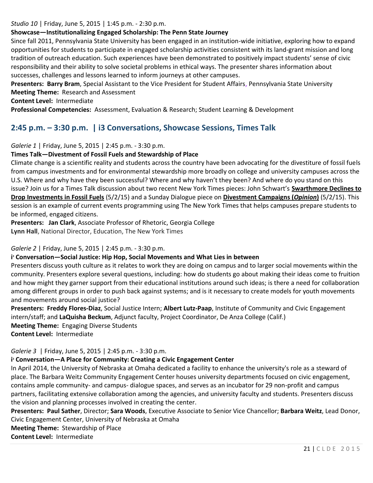#### *Studio 10* | Friday, June 5, 2015 | 1:45 p.m. - 2:30 p.m.

## **Showcase—Institutionalizing Engaged Scholarship: The Penn State Journey**

Since fall 2011, Pennsylvania State University has been engaged in an institution-wide initiative, exploring how to expand opportunities for students to participate in engaged scholarship activities consistent with its land-grant mission and long tradition of outreach education. Such experiences have been demonstrated to positively impact students' sense of civic responsibility and their ability to solve societal problems in ethical ways. The presenter shares information about successes, challenges and lessons learned to inform journeys at other campuses.

**Presenters: Barry Bram**, Special Assistant to the Vice President for Student Affairs, Pennsylvania State University **Meeting Theme:** Research and Assessment

**Content Level:** Intermediate

**Professional Competencies:** Assessment, Evaluation & Research; Student Learning & Development

# **2:45 p.m. – 3:30 p.m. | i3 Conversations, Showcase Sessions, Times Talk**

*Galerie 1* | Friday, June 5, 2015 | 2:45 p.m. - 3:30 p.m.

### **Times Talk—Divestment of Fossil Fuels and Stewardship of Place**

Climate change is a scientific reality and students across the country have been advocating for the divestiture of fossil fuels from campus investments and for environmental stewardship more broadly on college and university campuses across the U.S. Where and why have they been successful? Where and why haven't they been? And where do you stand on this issue? Join us for a Times Talk discussion about two recent New York Times pieces: John Schwart's **[Swarthmore Declines to](http://www.nytimes.com/2015/05/03/us/swarthmore-declines-to-drop-investments-in-fossil-fuels.html?src=xps&_r=1)  [Drop Investments in Fossil Fuels](http://www.nytimes.com/2015/05/03/us/swarthmore-declines-to-drop-investments-in-fossil-fuels.html?src=xps&_r=1)** (5/2/15) and a Sunday Dialogue piece on **[Divestment Campaigns \(](http://www.nytimes.com/2015/05/03/opinion/sunday/divestment-campaigns.html?src=xps)***Opinion***)** (5/2/15). This session is an example of current events programming using The New York Times that helps campuses prepare students to be informed, engaged citizens.

**Presenters: Jan Clark**, Associate Professor of Rhetoric, Georgia College **Lynn Hall**, National Director, Education, The New York Times

### *Galerie 2* | Friday, June 5, 2015 | 2:45 p.m. - 3:30 p.m.

### **i <sup>3</sup> Conversation—Social Justice: Hip Hop, Social Movements and What Lies in between**

Presenters discuss youth culture as it relates to work they are doing on campus and to larger social movements within the community. Presenters explore several questions, including: how do students go about making their ideas come to fruition and how might they garner support from their educational institutions around such ideas; is there a need for collaboration among different groups in order to push back against systems; and is it necessary to create models for youth movements and movements around social justice?

**Presenters: Freddy Flores-Diaz**, Social Justice Intern; **Albert Lutz-Paap**, Institute of Community and Civic Engagement intern/staff; and **LaQuisha Beckum**, Adjunct faculty, Project Coordinator, De Anza College (Calif.)

**Meeting Theme:** Engaging Diverse Students

**Content Level:** Intermediate

# *Galerie 3* | Friday, June 5, 2015 | 2:45 p.m. - 3:30 p.m.

# **i <sup>3</sup> Conversation—A Place for Community: Creating a Civic Engagement Center**

In April 2014, the University of Nebraska at Omaha dedicated a facility to enhance the university's role as a steward of place. The Barbara Weitz Community Engagement Center houses university departments focused on civic engagement, contains ample community- and campus- dialogue spaces, and serves as an incubator for 29 non-profit and campus partners, facilitating extensive collaboration among the agencies, and university faculty and students. Presenters discuss the vision and planning processes involved in creating the center.

**Presenters: Paul Sather**, Director; **Sara Woods**, Executive Associate to Senior Vice Chancellor; **Barbara Weitz**, Lead Donor, Civic Engagement Center, University of Nebraska at Omaha

**Meeting Theme:** Stewardship of Place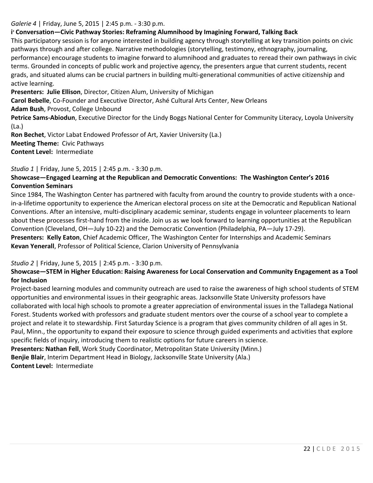## *Galerie 4* | Friday, June 5, 2015 | 2:45 p.m. - 3:30 p.m.

# **i <sup>3</sup> Conversation—Civic Pathway Stories: Reframing Alumnihood by Imagining Forward, Talking Back**

This participatory session is for anyone interested in building agency through storytelling at key transition points on civic pathways through and after college. Narrative methodologies (storytelling, testimony, ethnography, journaling, performance) encourage students to imagine forward to alumnihood and graduates to reread their own pathways in civic terms. Grounded in concepts of public work and projective agency, the presenters argue that current students, recent grads, and situated alums can be crucial partners in building multi-generational communities of active citizenship and active learning.

**Presenters: Julie Ellison**, Director, Citizen Alum, University of Michigan

**Carol Bebelle**, Co-Founder and Executive Director, Ashé Cultural Arts Center, New Orleans

**Adam Bush**, Provost, College Unbound

**Petrice Sams-Abiodun**, Executive Director for the Lindy Boggs National Center for Community Literacy, Loyola University (La.)

**Ron Bechet**, Victor Labat Endowed Professor of Art, Xavier University (La.) **Meeting Theme:** Civic Pathways **Content Level:** Intermediate

*Studio 1* | Friday, June 5, 2015 | 2:45 p.m. - 3:30 p.m.

# **Showcase—Engaged Learning at the Republican and Democratic Conventions: The Washington Center's 2016 Convention Seminars**

Since 1984, The Washington Center has partnered with faculty from around the country to provide students with a oncein-a-lifetime opportunity to experience the American electoral process on site at the Democratic and Republican National Conventions. After an intensive, multi-disciplinary academic seminar, students engage in volunteer placements to learn about these processes first-hand from the inside. Join us as we look forward to learning opportunities at the Republican Convention (Cleveland, OH—July 10-22) and the Democratic Convention (Philadelphia, PA—July 17-29).

**Presenters: Kelly Eaton**, Chief Academic Officer, The Washington Center for Internships and Academic Seminars **Kevan Yenerall**, Professor of Political Science, Clarion University of Pennsylvania

# *Studio 2* | Friday, June 5, 2015 | 2:45 p.m. - 3:30 p.m.

## **Showcase—STEM in Higher Education: Raising Awareness for Local Conservation and Community Engagement as a Tool for Inclusion**

Project-based learning modules and community outreach are used to raise the awareness of high school students of STEM opportunities and environmental issues in their geographic areas. Jacksonville State University professors have collaborated with local high schools to promote a greater appreciation of environmental issues in the Talladega National Forest. Students worked with professors and graduate student mentors over the course of a school year to complete a project and relate it to stewardship. First Saturday Science is a program that gives community children of all ages in St. Paul, Minn., the opportunity to expand their exposure to science through guided experiments and activities that explore specific fields of inquiry, introducing them to realistic options for future careers in science. **Presenters: Nathan Fell**, Work Study Coordinator, Metropolitan State University (Minn.)

**Benjie Blair**, Interim Department Head in Biology, Jacksonville State University (Ala.)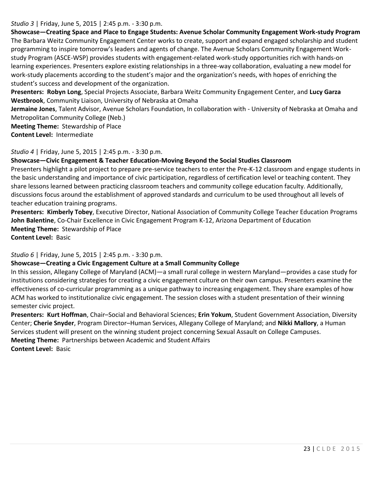#### *Studio 3* | Friday, June 5, 2015 | 2:45 p.m. - 3:30 p.m.

**Showcase—Creating Space and Place to Engage Students: Avenue Scholar Community Engagement Work-study Program** The Barbara Weitz Community Engagement Center works to create, support and expand engaged scholarship and student programming to inspire tomorrow's leaders and agents of change. The Avenue Scholars Community Engagement Workstudy Program (ASCE-WSP) provides students with engagement-related work-study opportunities rich with hands-on learning experiences. Presenters explore existing relationships in a three-way collaboration, evaluating a new model for work-study placements according to the student's major and the organization's needs, with hopes of enriching the student's success and development of the organization.

**Presenters: Robyn Long**, Special Projects Associate, Barbara Weitz Community Engagement Center, and **Lucy Garza Westbrook**, Community Liaison, University of Nebraska at Omaha

**Jermaine Jones**, Talent Advisor, Avenue Scholars Foundation, In collaboration with - University of Nebraska at Omaha and Metropolitan Community College (Neb.)

**Meeting Theme:** Stewardship of Place **Content Level:** Intermediate

#### *Studio 4* | Friday, June 5, 2015 | 2:45 p.m. - 3:30 p.m.

#### **Showcase—Civic Engagement & Teacher Education-Moving Beyond the Social Studies Classroom**

Presenters highlight a pilot project to prepare pre-service teachers to enter the Pre-K-12 classroom and engage students in the basic understanding and importance of civic participation, regardless of certification level or teaching content. They share lessons learned between practicing classroom teachers and community college education faculty. Additionally, discussions focus around the establishment of approved standards and curriculum to be used throughout all levels of teacher education training programs.

**Presenters: Kimberly Tobey**, Executive Director, National Association of Community College Teacher Education Programs **John Balentine**, Co-Chair Excellence in Civic Engagement Program K-12, Arizona Department of Education **Meeting Theme:** Stewardship of Place

**Content Level:** Basic

*Studio 6* | Friday, June 5, 2015 | 2:45 p.m. - 3:30 p.m.

### **Showcase—Creating a Civic Engagement Culture at a Small Community College**

In this session, Allegany College of Maryland (ACM)—a small rural college in western Maryland—provides a case study for institutions considering strategies for creating a civic engagement culture on their own campus. Presenters examine the effectiveness of co-curricular programming as a unique pathway to increasing engagement. They share examples of how ACM has worked to institutionalize civic engagement. The session closes with a student presentation of their winning semester civic project.

**Presenters: Kurt Hoffman**, Chair–Social and Behavioral Sciences; **Erin Yokum**, Student Government Association, Diversity Center; **Cherie Snyder**, Program Director–Human Services, Allegany College of Maryland; and **Nikki Mallory**, a Human Services student will present on the winning student project concerning Sexual Assault on College Campuses. **Meeting Theme:** Partnerships between Academic and Student Affairs **Content Level:** Basic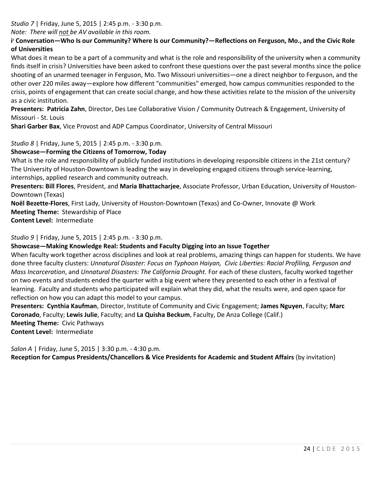*Studio 7* | Friday, June 5, 2015 | 2:45 p.m. - 3:30 p.m.

*Note: There will not be AV available in this room.* 

**i <sup>3</sup> Conversation—Who Is our Community? Where Is our Community?—Reflections on Ferguson, Mo., and the Civic Role of Universities**

What does it mean to be a part of a community and what is the role and responsibility of the university when a community finds itself in crisis? Universities have been asked to confront these questions over the past several months since the police shooting of an unarmed teenager in Ferguson, Mo. Two Missouri universities—one a direct neighbor to Ferguson, and the other over 220 miles away—explore how different "communities" emerged, how campus communities responded to the crisis, points of engagement that can create social change, and how these activities relate to the mission of the university as a civic institution.

**Presenters: Patricia Zahn**, Director, Des Lee Collaborative Vision / Community Outreach & Engagement, University of Missouri - St. Louis

**Shari Garber Bax**, Vice Provost and ADP Campus Coordinator, University of Central Missouri

*Studio 8* | Friday, June 5, 2015 | 2:45 p.m. - 3:30 p.m.

## **Showcase—Forming the Citizens of Tomorrow, Today**

What is the role and responsibility of publicly funded institutions in developing responsible citizens in the 21st century? The University of Houston-Downtown is leading the way in developing engaged citizens through service-learning, internships, applied research and community outreach.

**Presenters: Bill Flores**, President, and **Maria Bhattacharjee**, Associate Professor, Urban Education, University of Houston-Downtown (Texas)

**Noël Bezette-Flores**, First Lady, University of Houston-Downtown (Texas) and Co-Owner, Innovate @ Work **Meeting Theme:** Stewardship of Place **Content Level:** Intermediate

*Studio 9* | Friday, June 5, 2015 | 2:45 p.m. - 3:30 p.m.

### **Showcase—Making Knowledge Real: Students and Faculty Digging into an Issue Together**

When faculty work together across disciplines and look at real problems, amazing things can happen for students. We have done three faculty clusters: *Unnatural Disaster: Focus on Typhoon Haiyan, Civic Liberties: Racial Profiling, Ferguson and Mass Incarceration*, and *Unnatural Disasters: The California Drought.* For each of these clusters, faculty worked together on two events and students ended the quarter with a big event where they presented to each other in a festival of learning. Faculty and students who participated will explain what they did, what the results were, and open space for reflection on how you can adapt this model to your campus.

**Presenters: Cynthia Kaufman**, Director, Institute of Community and Civic Engagement; **James Nguyen**, Faculty; **Marc Coronado**, Faculty; **Lewis Julie**, Faculty; and **La Quisha Beckum**, Faculty, De Anza College (Calif.) **Meeting Theme:** Civic Pathways **Content Level:** Intermediate

*Salon A* | Friday, June 5, 2015 | 3:30 p.m. - 4:30 p.m.

**Reception for Campus Presidents/Chancellors & Vice Presidents for Academic and Student Affairs** (by invitation)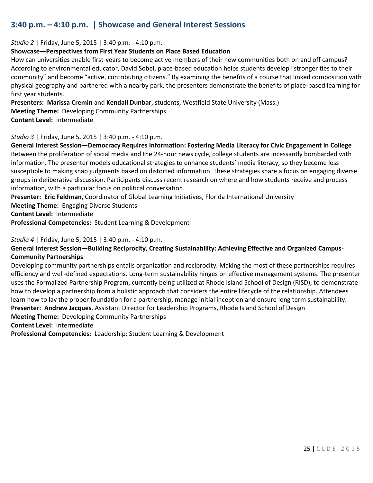# **3:40 p.m. – 4:10 p.m. | Showcase and General Interest Sessions**

*Studio 2* | Friday, June 5, 2015 | 3:40 p.m. - 4:10 p.m.

#### **Showcase—Perspectives from First Year Students on Place Based Education**

How can universities enable first-years to become active members of their new communities both on and off campus? According to environmental educator, David Sobel, place-based education helps students develop "stronger ties to their community" and become "active, contributing citizens." By examining the benefits of a course that linked composition with physical geography and partnered with a nearby park, the presenters demonstrate the benefits of place-based learning for first year students.

**Presenters: Marissa Cremin** and **Kendall Dunbar**, students, Westfield State University (Mass.)

**Meeting Theme:** Developing Community Partnerships

**Content Level:** Intermediate

### *Studio 3* | Friday, June 5, 2015 | 3:40 p.m. - 4:10 p.m.

**General Interest Session—Democracy Requires Information: Fostering Media Literacy for Civic Engagement in College** Between the proliferation of social media and the 24-hour news cycle, college students are incessantly bombarded with information. The presenter models educational strategies to enhance students' media literacy, so they become less susceptible to making snap judgments based on distorted information. These strategies share a focus on engaging diverse groups in deliberative discussion. Participants discuss recent research on where and how students receive and process information, with a particular focus on political conversation.

**Presenter: Eric Feldman**, Coordinator of Global Learning Initiatives, Florida International University

**Meeting Theme:** Engaging Diverse Students

**Content Level:** Intermediate

**Professional Competencies:** Student Learning & Development

#### *Studio 4* | Friday, June 5, 2015 | 3:40 p.m. - 4:10 p.m.

# **General Interest Session—Building Reciprocity, Creating Sustainability: Achieving Effective and Organized Campus-Community Partnerships**

Developing community partnerships entails organization and reciprocity. Making the most of these partnerships requires efficiency and well-defined expectations. Long-term sustainability hinges on effective management systems. The presenter uses the Formalized Partnership Program, currently being utilized at Rhode Island School of Design (RISD), to demonstrate how to develop a partnership from a holistic approach that considers the entire lifecycle of the relationship. Attendees learn how to lay the proper foundation for a partnership, manage initial inception and ensure long term sustainability. **Presenter: Andrew Jacques**, Assistant Director for Leadership Programs, Rhode Island School of Design **Meeting Theme:** Developing Community Partnerships

**Content Level:** Intermediate

**Professional Competencies:** Leadership; Student Learning & Development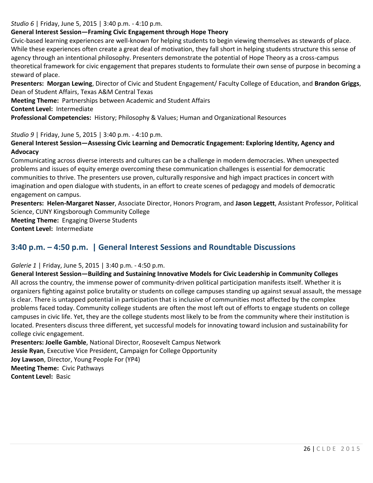## *Studio 6* | Friday, June 5, 2015 | 3:40 p.m. - 4:10 p.m.

# **General Interest Session—Framing Civic Engagement through Hope Theory**

Civic-based learning experiences are well-known for helping students to begin viewing themselves as stewards of place. While these experiences often create a great deal of motivation, they fall short in helping students structure this sense of agency through an intentional philosophy. Presenters demonstrate the potential of Hope Theory as a cross-campus theoretical framework for civic engagement that prepares students to formulate their own sense of purpose in becoming a steward of place.

**Presenters: Morgan Lewing**, Director of Civic and Student Engagement/ Faculty College of Education, and **Brandon Griggs**, Dean of Student Affairs, Texas A&M Central Texas

**Meeting Theme:** Partnerships between Academic and Student Affairs

**Content Level:** Intermediate

**Professional Competencies:** History; Philosophy & Values; Human and Organizational Resources

## *Studio 9* | Friday, June 5, 2015 | 3:40 p.m. - 4:10 p.m.

## **General Interest Session—Assessing Civic Learning and Democratic Engagement: Exploring Identity, Agency and Advocacy**

Communicating across diverse interests and cultures can be a challenge in modern democracies. When unexpected problems and issues of equity emerge overcoming these communication challenges is essential for democratic communities to thrive. The presenters use proven, culturally responsive and high impact practices in concert with imagination and open dialogue with students, in an effort to create scenes of pedagogy and models of democratic engagement on campus.

**Presenters: Helen-Margaret Nasser**, Associate Director, Honors Program, and **Jason Leggett**, Assistant Professor, Political Science, CUNY Kingsborough Community College

**Meeting Theme:** Engaging Diverse Students **Content Level:** Intermediate

# **3:40 p.m. – 4:50 p.m. | General Interest Sessions and Roundtable Discussions**

# *Galerie 1* | Friday, June 5, 2015 | 3:40 p.m. - 4:50 p.m.

**General Interest Session—Building and Sustaining Innovative Models for Civic Leadership in Community Colleges** All across the country, the immense power of community-driven political participation manifests itself. Whether it is organizers fighting against police brutality or students on college campuses standing up against sexual assault, the message is clear. There is untapped potential in participation that is inclusive of communities most affected by the complex problems faced today. Community college students are often the most left out of efforts to engage students on college campuses in civic life. Yet, they are the college students most likely to be from the community where their institution is located. Presenters discuss three different, yet successful models for innovating toward inclusion and sustainability for college civic engagement.

**Presenters: Joelle Gamble**, National Director, Roosevelt Campus Network **Jessie Ryan**, Executive Vice President, Campaign for College Opportunity **Joy Lawson**, Director, Young People For (YP4) **Meeting Theme:** Civic Pathways **Content Level:** Basic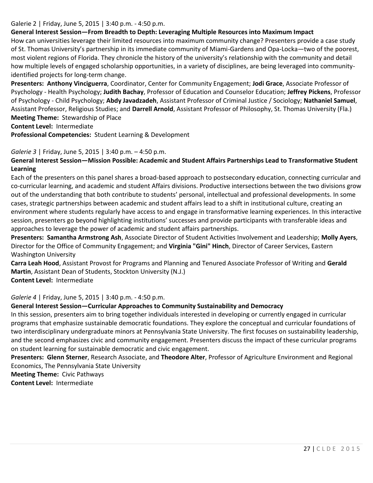## Galerie 2 | Friday, June 5, 2015 | 3:40 p.m. - 4:50 p.m.

# **General Interest Session—From Breadth to Depth: Leveraging Multiple Resources into Maximum Impact**

How can universities leverage their limited resources into maximum community change? Presenters provide a case study of St. Thomas University's partnership in its immediate community of Miami-Gardens and Opa-Locka—two of the poorest, most violent regions of Florida. They chronicle the history of the university's relationship with the community and detail how multiple levels of engaged scholarship opportunities, in a variety of disciplines, are being leveraged into communityidentified projects for long-term change.

**Presenters: Anthony Vinciguerra**, Coordinator, Center for Community Engagement; **Jodi Grace**, Associate Professor of Psychology - Health Psychology; **Judith Bachay**, Professor of Education and Counselor Education; **Jeffrey Pickens**, Professor of Psychology - Child Psychology; **Abdy Javadzadeh**, Assistant Professor of Criminal Justice / Sociology; **Nathaniel Samuel**, Assistant Professor, Religious Studies; and **Darrell Arnold**, Assistant Professor of Philosophy, St. Thomas University (Fla.) **Meeting Theme:** Stewardship of Place

**Content Level:** Intermediate

**Professional Competencies:** Student Learning & Development

### *Galerie 3* | Friday, June 5, 2015 | 3:40 p.m. – 4:50 p.m.

## **General Interest Session—Mission Possible: Academic and Student Affairs Partnerships Lead to Transformative Student Learning**

Each of the presenters on this panel shares a broad-based approach to postsecondary education, connecting curricular and co-curricular learning, and academic and student Affairs divisions. Productive intersections between the two divisions grow out of the understanding that both contribute to students' personal, intellectual and professional developments. In some cases, strategic partnerships between academic and student affairs lead to a shift in institutional culture, creating an environment where students regularly have access to and engage in transformative learning experiences. In this interactive session, presenters go beyond highlighting institutions' successes and provide participants with transferable ideas and approaches to leverage the power of academic and student affairs partnerships.

**Presenters: Samantha Armstrong Ash**, Associate Director of Student Activities Involvement and Leadership; **Molly Ayers**, Director for the Office of Community Engagement; and **Virginia "Gini" Hinch**, Director of Career Services, Eastern Washington University

**Carra Leah Hood**, Assistant Provost for Programs and Planning and Tenured Associate Professor of Writing and **Gerald Martin**, Assistant Dean of Students, Stockton University (N.J.)

**Content Level:** Intermediate

*Galerie 4* | Friday, June 5, 2015 | 3:40 p.m. - 4:50 p.m.

### **General Interest Session—Curricular Approaches to Community Sustainability and Democracy**

In this session, presenters aim to bring together individuals interested in developing or currently engaged in curricular programs that emphasize sustainable democratic foundations. They explore the conceptual and curricular foundations of two interdisciplinary undergraduate minors at Pennsylvania State University. The first focuses on sustainability leadership, and the second emphasizes civic and community engagement. Presenters discuss the impact of these curricular programs on student learning for sustainable democratic and civic engagement.

**Presenters: Glenn Sterner**, Research Associate, and **Theodore Alter**, Professor of Agriculture Environment and Regional Economics, The Pennsylvania State University

**Meeting Theme:** Civic Pathways **Content Level:** Intermediate

27 | C L D E 2 0 1 5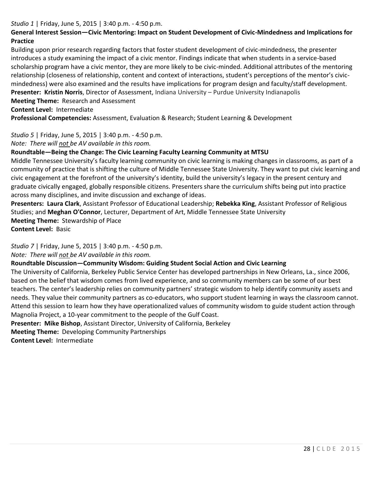## *Studio 1* | Friday, June 5, 2015 | 3:40 p.m. - 4:50 p.m.

# **General Interest Session—Civic Mentoring: Impact on Student Development of Civic-Mindedness and Implications for Practice**

Building upon prior research regarding factors that foster student development of civic-mindedness, the presenter introduces a study examining the impact of a civic mentor. Findings indicate that when students in a service-based scholarship program have a civic mentor, they are more likely to be civic-minded. Additional attributes of the mentoring relationship (closeness of relationship, content and context of interactions, student's perceptions of the mentor's civicmindedness) were also examined and the results have implications for program design and faculty/staff development. **Presenter: Kristin Norris**, Director of Assessment, Indiana University – Purdue University Indianapolis

**Meeting Theme:** Research and Assessment

**Content Level:** Intermediate

**Professional Competencies:** Assessment, Evaluation & Research; Student Learning & Development

*Studio 5* | Friday, June 5, 2015 | 3:40 p.m. - 4:50 p.m.

*Note: There will not be AV available in this room.* 

### **Roundtable—Being the Change: The Civic Learning Faculty Learning Community at MTSU**

Middle Tennessee University's faculty learning community on civic learning is making changes in classrooms, as part of a community of practice that is shifting the culture of Middle Tennessee State University. They want to put civic learning and civic engagement at the forefront of the university's identity, build the university's legacy in the present century and graduate civically engaged, globally responsible citizens. Presenters share the curriculum shifts being put into practice across many disciplines, and invite discussion and exchange of ideas.

**Presenters: Laura Clark**, Assistant Professor of Educational Leadership; **Rebekka King**, Assistant Professor of Religious Studies; and **Meghan O'Connor**, Lecturer, Department of Art, Middle Tennessee State University **Meeting Theme:** Stewardship of Place

**Content Level:** Basic

*Studio 7* | Friday, June 5, 2015 | 3:40 p.m. - 4:50 p.m.

*Note: There will not be AV available in this room.* 

### **Roundtable Discussion—Community Wisdom: Guiding Student Social Action and Civic Learning**

The University of California, Berkeley Public Service Center has developed partnerships in New Orleans, La., since 2006, based on the belief that wisdom comes from lived experience, and so community members can be some of our best teachers. The center's leadership relies on community partners' strategic wisdom to help identify community assets and needs. They value their community partners as co-educators, who support student learning in ways the classroom cannot. Attend this session to learn how they have operationalized values of community wisdom to guide student action through Magnolia Project, a 10-year commitment to the people of the Gulf Coast.

**Presenter: Mike Bishop**, Assistant Director, University of California, Berkeley

**Meeting Theme:** Developing Community Partnerships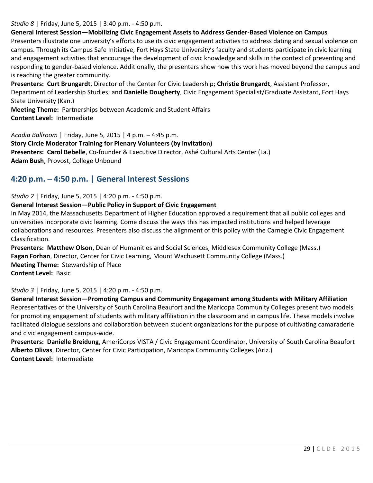*Studio 8* | Friday, June 5, 2015 | 3:40 p.m. - 4:50 p.m.

**General Interest Session—Mobilizing Civic Engagement Assets to Address Gender-Based Violence on Campus**

Presenters illustrate one university's efforts to use its civic engagement activities to address dating and sexual violence on campus. Through its Campus Safe Initiative, Fort Hays State University's faculty and students participate in civic learning and engagement activities that encourage the development of civic knowledge and skills in the context of preventing and responding to gender-based violence. Additionally, the presenters show how this work has moved beyond the campus and is reaching the greater community.

**Presenters: Curt Brungardt**, Director of the Center for Civic Leadership; **Christie Brungardt**, Assistant Professor, Department of Leadership Studies; and **Danielle Dougherty**, Civic Engagement Specialist/Graduate Assistant, Fort Hays State University (Kan.)

**Meeting Theme:** Partnerships between Academic and Student Affairs **Content Level:** Intermediate

*Acadia Ballroom* | Friday, June 5, 2015 | 4 p.m. – 4:45 p.m. **Story Circle Moderator Training for Plenary Volunteers (by invitation) Presenters: Carol Bebelle**, Co-founder & Executive Director, Ashé Cultural Arts Center (La.) **Adam Bush**, Provost, College Unbound

# **4:20 p.m. – 4:50 p.m. | General Interest Sessions**

*Studio 2* | Friday, June 5, 2015 | 4:20 p.m. - 4:50 p.m.

### **General Interest Session—Public Policy in Support of Civic Engagement**

In May 2014, the Massachusetts Department of Higher Education approved a requirement that all public colleges and universities incorporate civic learning. Come discuss the ways this has impacted institutions and helped leverage collaborations and resources. Presenters also discuss the alignment of this policy with the Carnegie Civic Engagement Classification.

**Presenters: Matthew Olson**, Dean of Humanities and Social Sciences, Middlesex Community College (Mass.) **Fagan Forhan**, Director, Center for Civic Learning, Mount Wachusett Community College (Mass.) **Meeting Theme:** Stewardship of Place **Content Level:** Basic

*Studio 3* | Friday, June 5, 2015 | 4:20 p.m. - 4:50 p.m.

**General Interest Session—Promoting Campus and Community Engagement among Students with Military Affiliation** Representatives of the University of South Carolina Beaufort and the Maricopa Community Colleges present two models for promoting engagement of students with military affiliation in the classroom and in campus life. These models involve facilitated dialogue sessions and collaboration between student organizations for the purpose of cultivating camaraderie and civic engagement campus-wide.

**Presenters: Danielle Breidung**, AmeriCorps VISTA / Civic Engagement Coordinator, University of South Carolina Beaufort **Alberto Olivas**, Director, Center for Civic Participation, Maricopa Community Colleges (Ariz.) **Content Level:** Intermediate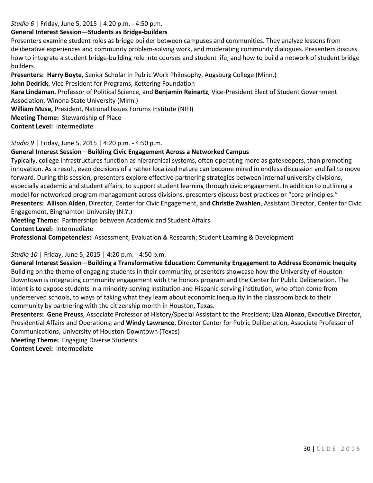## *Studio 6* | Friday, June 5, 2015 | 4:20 p.m. - 4:50 p.m.

## **General Interest Session—Students as Bridge-builders**

Presenters examine student roles as bridge builder between campuses and communities. They analyze lessons from deliberative experiences and community problem-solving work, and moderating community dialogues. Presenters discuss how to integrate a student bridge-building role into courses and student life, and how to build a network of student bridge builders.

**Presenters: Harry Boyte**, Senior Scholar in Public Work Philosophy, Augsburg College (Minn.)

**John Dedrick**, Vice President for Programs, Kettering Foundation

**Kara Lindaman**, Professor of Political Science, and **Benjamin Reinartz**, Vice-President Elect of Student Government Association, Winona State University (Minn.)

**William Muse,** President, National Issues Forums Institute (NIFI)

**Meeting Theme:** Stewardship of Place

**Content Level:** Intermediate

*Studio 9* | Friday, June 5, 2015 | 4:20 p.m. - 4:50 p.m.

## **General Interest Session—Building Civic Engagement Across a Networked Campus**

Typically, college infrastructures function as hierarchical systems, often operating more as gatekeepers, than promoting innovation. As a result, even decisions of a rather localized nature can become mired in endless discussion and fail to move forward. During this session, presenters explore effective partnering strategies between internal university divisions, especially academic and student affairs, to support student learning through civic engagement. In addition to outlining a model for networked program management across divisions, presenters discuss best practices or "core principles." **Presenters: Allison Alden**, Director, Center for Civic Engagement, and **Christie Zwahlen**, Assistant Director, Center for Civic Engagement, Binghamton University (N.Y.)

**Meeting Theme:** Partnerships between Academic and Student Affairs **Content Level:** Intermediate

**Professional Competencies:** Assessment, Evaluation & Research; Student Learning & Development

*Studio 10* | Friday, June 5, 2015 | 4:20 p.m. - 4:50 p.m.

**General Interest Session—Building a Transformative Education: Community Engagement to Address Economic Inequity** Building on the theme of engaging students in their community, presenters showcase how the University of Houston-Downtown is integrating community engagement with the honors program and the Center for Public Deliberation. The intent is to expose students in a minority-serving institution and Hispanic-serving institution, who often come from underserved schools, to ways of taking what they learn about economic inequality in the classroom back to their community by partnering with the citizenship month in Houston, Texas.

**Presenters: Gene Preuss**, Associate Professor of History/Special Assistant to the President; **Liza Alonzo**, Executive Director, Presidential Affairs and Operations; and **Windy Lawrence**, Director Center for Public Deliberation, Associate Professor of Communications, University of Houston-Downtown (Texas)

**Meeting Theme:** Engaging Diverse Students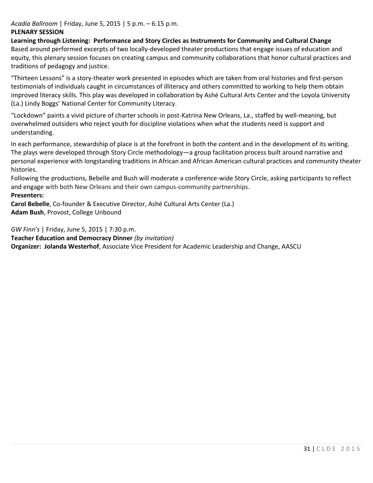# *Acadia Ballroom* | Friday, June 5, 2015 | 5 p.m. – 6:15 p.m.

## **PLENARY SESSION**

**Learning through Listening: Performance and Story Circles as Instruments for Community and Cultural Change** Based around performed excerpts of two locally-developed theater productions that engage issues of education and equity, this plenary session focuses on creating campus and community collaborations that honor cultural practices and traditions of pedagogy and justice.

"Thirteen Lessons" is a story-theater work presented in episodes which are taken from oral histories and first-person testimonials of individuals caught in circumstances of illiteracy and others committed to working to help them obtain improved literacy skills. This play was developed in collaboration by Ashé Cultural Arts Center and the Loyola University (La.) Lindy Boggs' National Center for Community Literacy.

"Lockdown" paints a vivid picture of charter schools in post-Katrina New Orleans, La., staffed by well-meaning, but overwhelmed outsiders who reject youth for discipline violations when what the students need is support and understanding.

In each performance, stewardship of place is at the forefront in both the content and in the development of its writing. The plays were developed through Story Circle methodology—a group facilitation process built around narrative and personal experience with longstanding traditions in African and African American cultural practices and community theater histories.

Following the productions, Bebelle and Bush will moderate a conference-wide Story Circle, asking participants to reflect and engage with both New Orleans and their own campus-community partnerships.

## **Presenters:**

**Carol Bebelle**, Co-founder & Executive Director, Ashé Cultural Arts Center (La.) **Adam Bush**, Provost, College Unbound

*GW Finn's* | Friday, June 5, 2015 | 7:30 p.m.

**Teacher Education and Democracy Dinner** *(by invitation)* **Organizer: Jolanda Westerhof**, Associate Vice President for Academic Leadership and Change, AASCU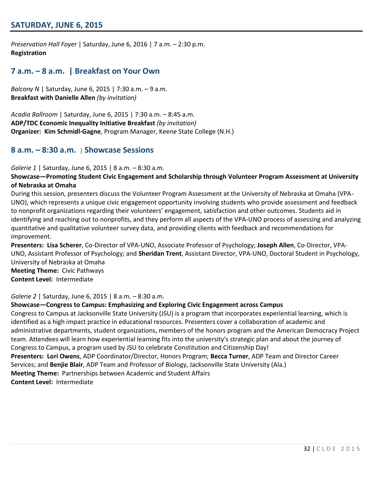# **SATURDAY, JUNE 6, 2015**

*Preservation Hall Foyer* | Saturday, June 6, 2016 | 7 a.m. – 2:30 p.m. **Registration**

# **7 a.m. – 8 a.m. | Breakfast on Your Own**

*Balcony N* | Saturday, June 6, 2015 | 7:30 a.m. – 9 a.m. **Breakfast with Danielle Allen** *(by invitation)*

*Acadia Ballroom* | Saturday, June 6, 2015 | 7:30 a.m. – 8:45 a.m. **ADP/TDC Economic Inequality Initiative Breakfast** *(by invitation)* **Organizer: Kim Schmidl-Gagne**, Program Manager, Keene State College (N.H.)

## **8 a.m. – 8:30 a.m.** | **Showcase Sessions**

*Galerie 1* | Saturday, June 6, 2015 | 8 a.m. – 8:30 a.m.

#### **Showcase—Promoting Student Civic Engagement and Scholarship through Volunteer Program Assessment at University of Nebraska at Omaha**

During this session, presenters discuss the Volunteer Program Assessment at the University of Nebraska at Omaha (VPA-UNO), which represents a unique civic engagement opportunity involving students who provide assessment and feedback to nonprofit organizations regarding their volunteers' engagement, satisfaction and other outcomes. Students aid in identifying and reaching out to nonprofits, and they perform all aspects of the VPA-UNO process of assessing and analyzing quantitative and qualitative volunteer survey data, and providing clients with feedback and recommendations for improvement.

**Presenters: Lisa Scherer**, Co-Director of VPA-UNO, Associate Professor of Psychology; **Joseph Allen**, Co-Director, VPA-UNO, Assistant Professor of Psychology; and **Sheridan Trent**, Assistant Director, VPA-UNO, Doctoral Student in Psychology, University of Nebraska at Omaha **Meeting Theme:** Civic Pathways

**Content Level:** Intermediate

*Galerie 2* | Saturday, June 6, 2015 | 8 a.m. – 8:30 a.m.

#### **Showcase—Congress to Campus: Emphasizing and Exploring Civic Engagement across Campus**

Congress to Campus at Jacksonville State University (JSU) is a program that incorporates experiential learning, which is identified as a high impact practice in educational resources. Presenters cover a collaboration of academic and administrative departments, student organizations, members of the honors program and the American Democracy Project team. Attendees will learn how experiential learning fits into the university's strategic plan and about the journey of Congress to Campus, a program used by JSU to celebrate Constitution and Citizenship Day! **Presenters: Lori Owens**, ADP Coordinator/Director, Honors Program; **Becca Turner**, ADP Team and Director Career Services; and **Benjie Blair**, ADP Team and Professor of Biology, Jacksonville State University (Ala.) **Meeting Theme:** Partnerships between Academic and Student Affairs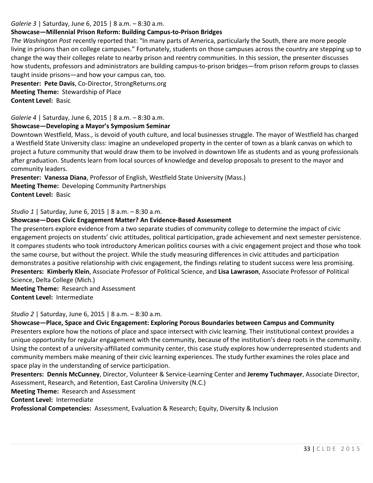### *Galerie 3* | Saturday, June 6, 2015 | 8 a.m. – 8:30 a.m.

## **Showcase—Millennial Prison Reform: Building Campus-to-Prison Bridges**

*The Washington Post* recently reported that: "In many parts of America, particularly the South, there are more people living in prisons than on college campuses." Fortunately, students on those campuses across the country are stepping up to change the way their colleges relate to nearby prison and reentry communities. In this session, the presenter discusses how students, professors and administrators are building campus-to-prison bridges—from prison reform groups to classes taught inside prisons—and how your campus can, too.

**Presenter: Pete Davis**, Co-Director, StrongReturns.org **Meeting Theme:** Stewardship of Place

**Content Level:** Basic

*Galerie 4* | Saturday, June 6, 2015 | 8 a.m. – 8:30 a.m.

#### **Showcase—Developing a Mayor's Symposium Seminar**

Downtown Westfield, Mass., is devoid of youth culture, and local businesses struggle. The mayor of Westfield has charged a Westfield State University class: imagine an undeveloped property in the center of town as a blank canvas on which to project a future community that would draw them to be involved in downtown life as students and as young professionals after graduation. Students learn from local sources of knowledge and develop proposals to present to the mayor and community leaders.

**Presenter: Vanessa Diana**, Professor of English, Westfield State University (Mass.) **Meeting Theme:** Developing Community Partnerships **Content Level:** Basic

*Studio 1* | Saturday, June 6, 2015 | 8 a.m. – 8:30 a.m.

#### **Showcase—Does Civic Engagement Matter? An Evidence-Based Assessment**

The presenters explore evidence from a two separate studies of community college to determine the impact of civic engagement projects on students' civic attitudes, political participation, grade achievement and next semester persistence. It compares students who took introductory American politics courses with a civic engagement project and those who took the same course, but without the project. While the study measuring differences in civic attitudes and participation demonstrates a positive relationship with civic engagement, the findings relating to student success were less promising. **Presenters: Kimberly Klein**, Associate Professor of Political Science, and **Lisa Lawrason**, Associate Professor of Political Science, Delta College (Mich.)

**Meeting Theme:** Research and Assessment **Content Level:** Intermediate

*Studio 2* | Saturday, June 6, 2015 | 8 a.m. – 8:30 a.m.

**Showcase—Place, Space and Civic Engagement: Exploring Porous Boundaries between Campus and Community** Presenters explore how the notions of place and space intersect with civic learning. Their institutional context provides a unique opportunity for regular engagement with the community, because of the institution's deep roots in the community. Using the context of a university-affiliated community center, this case study explores how underrepresented students and community members make meaning of their civic learning experiences. The study further examines the roles place and space play in the understanding of service participation.

**Presenters: Dennis McCunney**, Director, Volunteer & Service-Learning Center and **Jeremy Tuchmayer**, Associate Director, Assessment, Research, and Retention, East Carolina University (N.C.)

**Meeting Theme:** Research and Assessment

**Content Level:** Intermediate

**Professional Competencies:** Assessment, Evaluation & Research; Equity, Diversity & Inclusion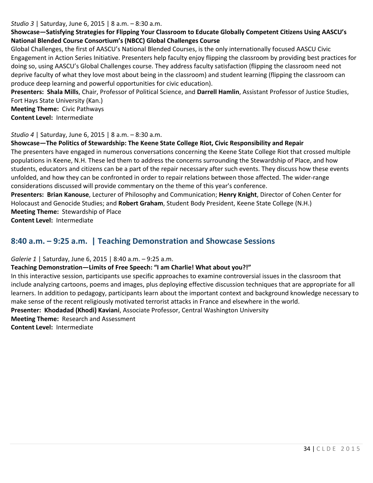#### *Studio 3* | Saturday, June 6, 2015 | 8 a.m. – 8:30 a.m.

# **Showcase—Satisfying Strategies for Flipping Your Classroom to Educate Globally Competent Citizens Using AASCU's National Blended Course Consortium's (NBCC) Global Challenges Course**

Global Challenges, the first of AASCU's National Blended Courses, is the only internationally focused AASCU Civic Engagement in Action Series Initiative. Presenters help faculty enjoy flipping the classroom by providing best practices for doing so, using AASCU's Global Challenges course. They address faculty satisfaction (flipping the classroom need not deprive faculty of what they love most about being in the classroom) and student learning (flipping the classroom can produce deep learning and powerful opportunities for civic education).

**Presenters: Shala Mills**, Chair, Professor of Political Science, and **Darrell Hamlin**, Assistant Professor of Justice Studies, Fort Hays State University (Kan.)

**Meeting Theme:** Civic Pathways **Content Level:** Intermediate

#### *Studio 4* | Saturday, June 6, 2015 | 8 a.m. – 8:30 a.m.

#### **Showcase—The Politics of Stewardship: The Keene State College Riot, Civic Responsibility and Repair**

The presenters have engaged in numerous conversations concerning the Keene State College Riot that crossed multiple populations in Keene, N.H. These led them to address the concerns surrounding the Stewardship of Place, and how students, educators and citizens can be a part of the repair necessary after such events. They discuss how these events unfolded, and how they can be confronted in order to repair relations between those affected. The wider-range considerations discussed will provide commentary on the theme of this year's conference.

**Presenters: Brian Kanouse**, Lecturer of Philosophy and Communication; **Henry Knight**, Director of Cohen Center for Holocaust and Genocide Studies; and **Robert Graham**, Student Body President, Keene State College (N.H.) **Meeting Theme:** Stewardship of Place

**Content Level:** Intermediate

# **8:40 a.m. – 9:25 a.m. | Teaching Demonstration and Showcase Sessions**

#### *Galerie 1* | Saturday, June 6, 2015 | 8:40 a.m. – 9:25 a.m.

#### **Teaching Demonstration—Limits of Free Speech: "I am Charlie! What about you?!"**

In this interactive session, participants use specific approaches to examine controversial issues in the classroom that include analyzing cartoons, poems and images, plus deploying effective discussion techniques that are appropriate for all learners. In addition to pedagogy, participants learn about the important context and background knowledge necessary to make sense of the recent religiously motivated terrorist attacks in France and elsewhere in the world.

**Presenter: Khodadad (Khodi) Kaviani**, Associate Professor, Central Washington University

**Meeting Theme:** Research and Assessment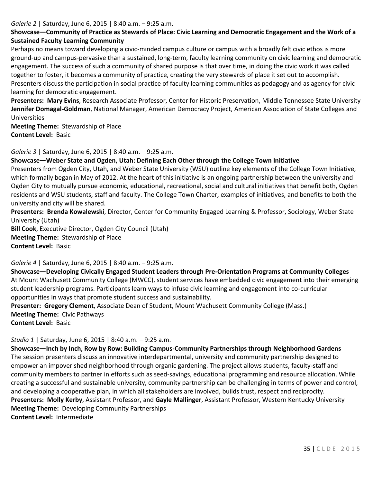#### *Galerie 2* | Saturday, June 6, 2015 | 8:40 a.m. – 9:25 a.m.

# **Showcase—Community of Practice as Stewards of Place: Civic Learning and Democratic Engagement and the Work of a Sustained Faculty Learning Community**

Perhaps no means toward developing a civic-minded campus culture or campus with a broadly felt civic ethos is more ground-up and campus-pervasive than a sustained, long-term, faculty learning community on civic learning and democratic engagement. The success of such a community of shared purpose is that over time, in doing the civic work it was called together to foster, it becomes a community of practice, creating the very stewards of place it set out to accomplish. Presenters discuss the participation in social practice of faculty learning communities as pedagogy and as agency for civic learning for democratic engagement.

**Presenters: Mary Evins**, Research Associate Professor, Center for Historic Preservation, Middle Tennessee State University **Jennifer Domagal-Goldman**, National Manager, American Democracy Project, American Association of State Colleges and Universities

**Meeting Theme:** Stewardship of Place **Content Level:** Basic

*Galerie 3* | Saturday, June 6, 2015 | 8:40 a.m. – 9:25 a.m.

#### **Showcase—Weber State and Ogden, Utah: Defining Each Other through the College Town Initiative**

Presenters from Ogden City, Utah, and Weber State University (WSU) outline key elements of the College Town Initiative, which formally began in May of 2012. At the heart of this initiative is an ongoing partnership between the university and Ogden City to mutually pursue economic, educational, recreational, social and cultural initiatives that benefit both, Ogden residents and WSU students, staff and faculty. The College Town Charter, examples of initiatives, and benefits to both the university and city will be shared.

**Presenters: Brenda Kowalewski**, Director, Center for Community Engaged Learning & Professor, Sociology, Weber State University (Utah)

**Bill Cook**, Executive Director, Ogden City Council (Utah) **Meeting Theme:** Stewardship of Place **Content Level:** Basic

### *Galerie 4* | Saturday, June 6, 2015 | 8:40 a.m. – 9:25 a.m.

**Showcase—Developing Civically Engaged Student Leaders through Pre-Orientation Programs at Community Colleges** At Mount Wachusett Community College (MWCC), student services have embedded civic engagement into their emerging student leadership programs. Participants learn ways to infuse civic learning and engagement into co-curricular opportunities in ways that promote student success and sustainability.

**Presenter: Gregory Clement**, Associate Dean of Student, Mount Wachusett Community College (Mass.) **Meeting Theme:** Civic Pathways **Content Level:** Basic

*Studio 1* | Saturday, June 6, 2015 | 8:40 a.m. – 9:25 a.m.

**Showcase—Inch by Inch, Row by Row: Building Campus-Community Partnerships through Neighborhood Gardens** The session presenters discuss an innovative interdepartmental, university and community partnership designed to empower an impoverished neighborhood through organic gardening. The project allows students, faculty-staff and community members to partner in efforts such as seed-savings, educational programming and resource allocation. While creating a successful and sustainable university, community partnership can be challenging in terms of power and control, and developing a cooperative plan, in which all stakeholders are involved, builds trust, respect and reciprocity. **Presenters: Molly Kerby**, Assistant Professor, and **Gayle Mallinger**, Assistant Professor, Western Kentucky University **Meeting Theme:** Developing Community Partnerships **Content Level:** Intermediate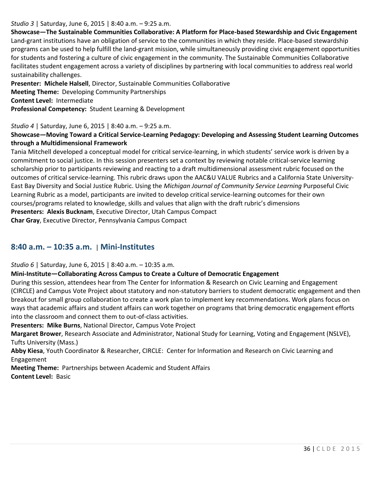### *Studio 3* | Saturday, June 6, 2015 | 8:40 a.m. – 9:25 a.m.

**Showcase—The Sustainable Communities Collaborative: A Platform for Place-based Stewardship and Civic Engagement** Land-grant institutions have an obligation of service to the communities in which they reside. Place-based stewardship programs can be used to help fulfill the land-grant mission, while simultaneously providing civic engagement opportunities for students and fostering a culture of civic engagement in the community. The Sustainable Communities Collaborative facilitates student engagement across a variety of disciplines by partnering with local communities to address real world sustainability challenges.

**Presenter: Michele Halsell**, Director, Sustainable Communities Collaborative **Meeting Theme:** Developing Community Partnerships **Content Level:** Intermediate **Professional Competency:** Student Learning & Development

#### *Studio 4* | Saturday, June 6, 2015 | 8:40 a.m. – 9:25 a.m.

## **Showcase—Moving Toward a Critical Service-Learning Pedagogy: Developing and Assessing Student Learning Outcomes through a Multidimensional Framework**

Tania Mitchell developed a conceptual model for critical service-learning, in which students' service work is driven by a commitment to social justice. In this session presenters set a context by reviewing notable critical-service learning scholarship prior to participants reviewing and reacting to a draft multidimensional assessment rubric focused on the outcomes of critical service-learning. This rubric draws upon the AAC&U VALUE Rubrics and a California State University-East Bay Diversity and Social Justice Rubric. Using the *Michigan Journal of Community Service Learning* Purposeful Civic Learning Rubric as a model, participants are invited to develop critical service-learning outcomes for their own courses/programs related to knowledge, skills and values that align with the draft rubric's dimensions **Presenters: Alexis Bucknam**, Executive Director, Utah Campus Compact **Char Gray**, Executive Director, Pennsylvania Campus Compact

# **8:40 a.m. – 10:35 a.m.** | **Mini-Institutes**

*Studio 6* | Saturday, June 6, 2015 | 8:40 a.m. – 10:35 a.m.

**Mini-Institute—Collaborating Across Campus to Create a Culture of Democratic Engagement**

During this session, attendees hear from The Center for Information & Research on Civic Learning and Engagement (CIRCLE) and Campus Vote Project about statutory and non-statutory barriers to student democratic engagement and then breakout for small group collaboration to create a work plan to implement key recommendations. Work plans focus on ways that academic affairs and student affairs can work together on programs that bring democratic engagement efforts into the classroom and connect them to out-of-class activities.

**Presenters: Mike Burns**, National Director, Campus Vote Project

**Margaret Brower**, Research Associate and Administrator, National Study for Learning, Voting and Engagement (NSLVE), Tufts University (Mass.)

**Abby Kiesa**, Youth Coordinator & Researcher, CIRCLE: Center for Information and Research on Civic Learning and Engagement

**Meeting Theme:** Partnerships between Academic and Student Affairs **Content Level:** Basic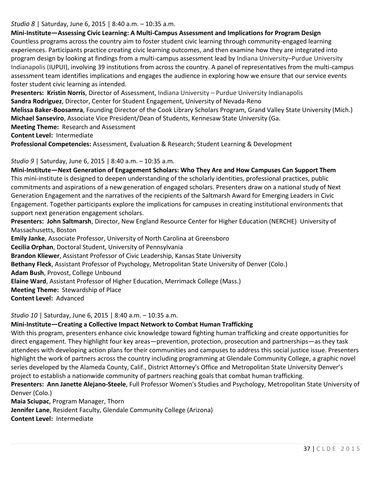### *Studio 8* | Saturday, June 6, 2015 | 8:40 a.m. – 10:35 a.m.

### **Mini-Institute—Assessing Civic Learning: A Multi-Campus Assessment and Implications for Program Design**

Countless programs across the country aim to foster student civic learning through community-engaged learning experiences. Participants practice creating civic learning outcomes, and then examine how they are integrated into program design by looking at findings from a multi-campus assessment lead by Indiana University–Purdue University Indianapolis (IUPUI), involving 39 institutions from across the country. A panel of representatives from the multi-campus assessment team identifies implications and engages the audience in exploring how we ensure that our service events foster student civic learning as intended.

**Presenters: Kristin Norris**, Director of Assessment, Indiana University – Purdue University Indianapolis **Sandra Rodriguez**, Director, Center for Student Engagement, University of Nevada-Reno

**Melissa Baker-Boosamra**, Founding Director of the Cook Library Scholars Program, Grand Valley State University (Mich.) **Michael Sanseviro**, Associate Vice President/Dean of Students, Kennesaw State University (Ga.

**Meeting Theme:** Research and Assessment

**Content Level:** Intermediate

**Professional Competencies:** Assessment, Evaluation & Research; Student Learning & Development

### *Studio 9* | Saturday, June 6, 2015 | 8:40 a.m. – 10:35 a.m.

**Mini-Institute—Next Generation of Engagement Scholars: Who They Are and How Campuses Can Support Them** This mini-institute is designed to deepen understanding of the scholarly identities, professional practices, public commitments and aspirations of a new generation of engaged scholars. Presenters draw on a national study of Next Generation Engagement and the narratives of the recipients of the Saltmarsh Award for Emerging Leaders in Civic Engagement. Together participants explore the implications for campuses in creating institutional environments that support next generation engagement scholars.

**Presenters: John Saltmarsh**, Director, New England Resource Center for Higher Education (NERCHE) University of Massachusetts, Boston

**Emily Janke**, Associate Professor, University of North Carolina at Greensboro

**Cecilia Orphan**, Doctoral Student, University of Pennsylvania

**Brandon Kliewer**, Assistant Professor of Civic Leadership, Kansas State University

**Bethany Fleck**, Assistant Professor of Psychology, Metropolitan State University of Denver (Colo.)

**Adam Bush**, Provost, College Unbound

**Elaine Ward**, Assistant Professor of Higher Education, Merrimack College (Mass.)

**Meeting Theme:** Stewardship of Place

**Content Level:** Advanced

*Studio 10* | Saturday, June 6, 2015 | 8:40 a.m. – 10:35 a.m.

### **Mini-Institute—Creating a Collective Impact Network to Combat Human Trafficking**

With this program, presenters enhance civic knowledge toward fighting human trafficking and create opportunities for direct engagement. They highlight four key areas—prevention, protection, prosecution and partnerships—as they task attendees with developing action plans for their communities and campuses to address this social justice issue. Presenters highlight the work of partners across the country including programming at Glendale Community College, a graphic novel series developed by the Alameda County, Calif., District Attorney's Office and Metropolitan State University Denver's project to establish a nationwide community of partners reaching goals that combat human trafficking.

**Presenters: Ann Janette Alejano-Steele**, Full Professor Women's Studies and Psychology, Metropolitan State University of Denver (Colo.)

**Maia Sciupac**, Program Manager, Thorn **Jennifer Lane**, Resident Faculty, Glendale Community College (Arizona) **Content Level:** Intermediate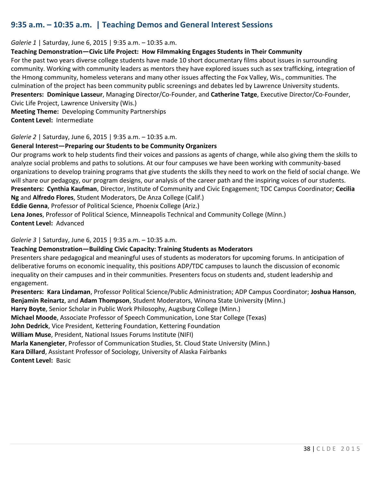# **9:35 a.m. – 10:35 a.m. | Teaching Demos and General Interest Sessions**

#### *Galerie 1* | Saturday, June 6, 2015 | 9:35 a.m. – 10:35 a.m.

### **Teaching Demonstration—Civic Life Project: How Filmmaking Engages Students in Their Community**

For the past two years diverse college students have made 10 short documentary films about issues in surrounding community. Working with community leaders as mentors they have explored issues such as sex trafficking, integration of the Hmong community, homeless veterans and many other issues affecting the Fox Valley, Wis., communities. The culmination of the project has been community public screenings and debates led by Lawrence University students. **Presenters: Dominique Lasseur**, Managing Director/Co-Founder, and **Catherine Tatge**, Executive Director/Co-Founder, Civic Life Project, Lawrence University (Wis.)

**Meeting Theme:** Developing Community Partnerships **Content Level:** Intermediate

*Galerie 2* | Saturday, June 6, 2015 | 9:35 a.m. – 10:35 a.m.

### **General Interest—Preparing our Students to be Community Organizers**

Our programs work to help students find their voices and passions as agents of change, while also giving them the skills to analyze social problems and paths to solutions. At our four campuses we have been working with community-based organizations to develop training programs that give students the skills they need to work on the field of social change. We will share our pedagogy, our program designs, our analysis of the career path and the inspiring voices of our students. **Presenters: Cynthia Kaufman**, Director, Institute of Community and Civic Engagement; TDC Campus Coordinator; **Cecilia Ng** and **Alfredo Flores**, Student Moderators, De Anza College (Calif.) **Eddie Genna**, Professor of Political Science, Phoenix College (Ariz.)

**Lena Jones**, Professor of Political Science, Minneapolis Technical and Community College (Minn.) **Content Level:** Advanced

#### *Galerie 3* | Saturday, June 6, 2015 | 9:35 a.m. – 10:35 a.m.

### **Teaching Demonstration—Building Civic Capacity: Training Students as Moderators**

Presenters share pedagogical and meaningful uses of students as moderators for upcoming forums. In anticipation of deliberative forums on economic inequality, this positions ADP/TDC campuses to launch the discussion of economic inequality on their campuses and in their communities. Presenters focus on students and, student leadership and engagement.

**Presenters: Kara Lindaman**, Professor Political Science/Public Administration; ADP Campus Coordinator; **Joshua Hanson**, **Benjamin Reinartz**, and **Adam Thompson**, Student Moderators, Winona State University (Minn.)

**Harry Boyte**, Senior Scholar in Public Work Philosophy, Augsburg College (Minn.)

**Michael Moode**, Associate Professor of Speech Communication, Lone Star College (Texas)

**John Dedrick**, Vice President, Kettering Foundation, Kettering Foundation

**William Muse**, President, National Issues Forums Institute (NIFI)

**Marla Kanengieter**, Professor of Communication Studies, St. Cloud State University (Minn.)

**Kara Dillard**, Assistant Professor of Sociology, University of Alaska Fairbanks **Content Level:** Basic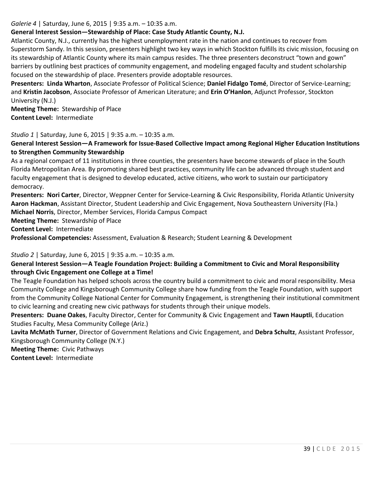*Galerie 4* | Saturday, June 6, 2015 | 9:35 a.m. – 10:35 a.m.

# **General Interest Session—Stewardship of Place: Case Study Atlantic County, N.J.**

Atlantic County, N.J., currently has the highest unemployment rate in the nation and continues to recover from Superstorm Sandy. In this session, presenters highlight two key ways in which Stockton fulfills its civic mission, focusing on its stewardship of Atlantic County where its main campus resides. The three presenters deconstruct "town and gown" barriers by outlining best practices of community engagement, and modeling engaged faculty and student scholarship focused on the stewardship of place. Presenters provide adoptable resources.

**Presenters: Linda Wharton**, Associate Professor of Political Science; **Daniel Fidalgo Tomé**, Director of Service-Learning; and **Kristin Jacobson**, Associate Professor of American Literature; and **Erin O'Hanlon**, Adjunct Professor, Stockton University (N.J.)

**Meeting Theme:** Stewardship of Place **Content Level:** Intermediate

### *Studio 1* | Saturday, June 6, 2015 | 9:35 a.m. – 10:35 a.m.

# **General Interest Session—A Framework for Issue-Based Collective Impact among Regional Higher Education Institutions to Strengthen Community Stewardship**

As a regional compact of 11 institutions in three counties, the presenters have become stewards of place in the South Florida Metropolitan Area. By promoting shared best practices, community life can be advanced through student and faculty engagement that is designed to develop educated, active citizens, who work to sustain our participatory democracy.

**Presenters: Nori Carter**, Director, Weppner Center for Service-Learning & Civic Responsibility, Florida Atlantic University **Aaron Hackman**, Assistant Director, Student Leadership and Civic Engagement, Nova Southeastern University (Fla.) **Michael Norris**, Director, Member Services, Florida Campus Compact

**Meeting Theme:** Stewardship of Place

**Content Level:** Intermediate

**Professional Competencies:** Assessment, Evaluation & Research; Student Learning & Development

### *Studio 2* | Saturday, June 6, 2015 | 9:35 a.m. – 10:35 a.m.

## **General Interest Session—A Teagle Foundation Project: Building a Commitment to Civic and Moral Responsibility through Civic Engagement one College at a Time!**

The Teagle Foundation has helped schools across the country build a commitment to civic and moral responsibility. Mesa Community College and Kingsborough Community College share how funding from the Teagle Foundation, with support from the Community College National Center for Community Engagement, is strengthening their institutional commitment to civic learning and creating new civic pathways for students through their unique models.

**Presenters: Duane Oakes**, Faculty Director, Center for Community & Civic Engagement and **Tawn Hauptli**, Education Studies Faculty, Mesa Community College (Ariz.)

**Lavita McMath Turner**, Director of Government Relations and Civic Engagement, and **Debra Schultz**, Assistant Professor, Kingsborough Community College (N.Y.)

**Meeting Theme:** Civic Pathways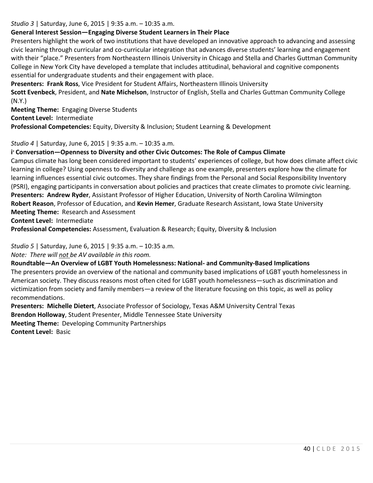#### *Studio 3* | Saturday, June 6, 2015 | 9:35 a.m. – 10:35 a.m.

## **General Interest Session—Engaging Diverse Student Learners in Their Place**

Presenters highlight the work of two institutions that have developed an innovative approach to advancing and assessing civic learning through curricular and co-curricular integration that advances diverse students' learning and engagement with their "place." Presenters from Northeastern Illinois University in Chicago and Stella and Charles Guttman Community College in New York City have developed a template that includes attitudinal, behavioral and cognitive components essential for undergraduate students and their engagement with place.

**Presenters: Frank Ross**, Vice President for Student Affairs, Northeastern Illinois University

**Scott Evenbeck**, President, and **Nate Michelson**, Instructor of English, Stella and Charles Guttman Community College (N.Y.)

**Meeting Theme:** Engaging Diverse Students **Content Level:** Intermediate

**Professional Competencies:** Equity, Diversity & Inclusion; Student Learning & Development

### *Studio 4* | Saturday, June 6, 2015 | 9:35 a.m. – 10:35 a.m.

## **i <sup>3</sup> Conversation—Openness to Diversity and other Civic Outcomes: The Role of Campus Climate**

Campus climate has long been considered important to students' experiences of college, but how does climate affect civic learning in college? Using openness to diversity and challenge as one example, presenters explore how the climate for learning influences essential civic outcomes. They share findings from the Personal and Social Responsibility Inventory (PSRI), engaging participants in conversation about policies and practices that create climates to promote civic learning. **Presenters: Andrew Ryder**, Assistant Professor of Higher Education, University of North Carolina Wilmington **Robert Reason**, Professor of Education, and **Kevin Hemer**, Graduate Research Assistant, Iowa State University **Meeting Theme:** Research and Assessment

**Content Level:** Intermediate

**Professional Competencies:** Assessment, Evaluation & Research; Equity, Diversity & Inclusion

*Studio 5* | Saturday, June 6, 2015 | 9:35 a.m. – 10:35 a.m.

*Note: There will not be AV available in this room.* 

### **Roundtable—An Overview of LGBT Youth Homelessness: National- and Community-Based Implications**

The presenters provide an overview of the national and community based implications of LGBT youth homelessness in American society. They discuss reasons most often cited for LGBT youth homelessness—such as discrimination and victimization from society and family members—a review of the literature focusing on this topic, as well as policy recommendations.

**Presenters: Michelle Dietert**, Associate Professor of Sociology, Texas A&M University Central Texas **Brendon Holloway**, Student Presenter, Middle Tennessee State University **Meeting Theme:** Developing Community Partnerships **Content Level:** Basic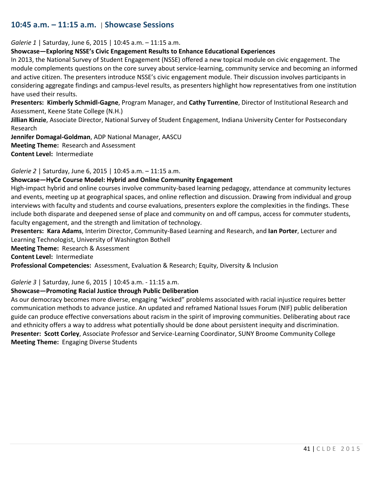# **10:45 a.m. – 11:15 a.m.** | **Showcase Sessions**

*Galerie 1* | Saturday, June 6, 2015 | 10:45 a.m. – 11:15 a.m.

#### **Showcase—Exploring NSSE's Civic Engagement Results to Enhance Educational Experiences**

In 2013, the National Survey of Student Engagement (NSSE) offered a new topical module on civic engagement. The module complements questions on the core survey about service-learning, community service and becoming an informed and active citizen. The presenters introduce NSSE's civic engagement module. Their discussion involves participants in considering aggregate findings and campus-level results, as presenters highlight how representatives from one institution have used their results.

**Presenters: Kimberly Schmidl-Gagne**, Program Manager, and **Cathy Turrentine**, Director of Institutional Research and Assessment, Keene State College (N.H.)

**Jillian Kinzie**, Associate Director, National Survey of Student Engagement, Indiana University Center for Postsecondary Research

**Jennifer Domagal-Goldman**, ADP National Manager, AASCU **Meeting Theme:** Research and Assessment **Content Level:** Intermediate

*Galerie 2* | Saturday, June 6, 2015 | 10:45 a.m. – 11:15 a.m.

#### **Showcase—HyCe Course Model: Hybrid and Online Community Engagement**

High-impact hybrid and online courses involve community-based learning pedagogy, attendance at community lectures and events, meeting up at geographical spaces, and online reflection and discussion. Drawing from individual and group interviews with faculty and students and course evaluations, presenters explore the complexities in the findings. These include both disparate and deepened sense of place and community on and off campus, access for commuter students, faculty engagement, and the strength and limitation of technology.

**Presenters: Kara Adams**, Interim Director, Community-Based Learning and Research, and **Ian Porter**, Lecturer and Learning Technologist, University of Washington Bothell

**Meeting Theme:** Research & Assessment

**Content Level:** Intermediate

**Professional Competencies:** Assessment, Evaluation & Research; Equity, Diversity & Inclusion

*Galerie 3* | Saturday, June 6, 2015 | 10:45 a.m. - 11:15 a.m.

### **Showcase—Promoting Racial Justice through Public Deliberation**

As our democracy becomes more diverse, engaging "wicked" problems associated with racial injustice requires better communication methods to advance justice. An updated and reframed National Issues Forum (NIF) public deliberation guide can produce effective conversations about racism in the spirit of improving communities. Deliberating about race and ethnicity offers a way to address what potentially should be done about persistent inequity and discrimination. **Presenter: Scott Corley**, Associate Professor and Service-Learning Coordinator, SUNY Broome Community College **Meeting Theme:** Engaging Diverse Students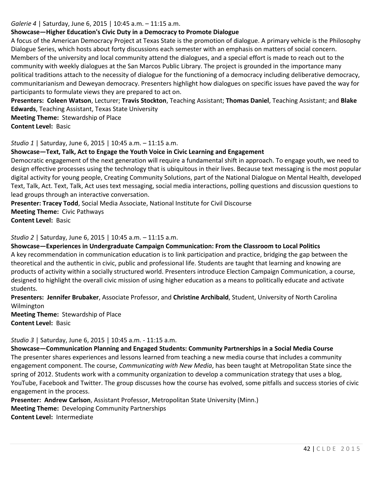#### *Galerie 4* | Saturday, June 6, 2015 | 10:45 a.m. – 11:15 a.m.

## **Showcase—Higher Education's Civic Duty in a Democracy to Promote Dialogue**

A focus of the American Democracy Project at Texas State is the promotion of dialogue. A primary vehicle is the Philosophy Dialogue Series, which hosts about forty discussions each semester with an emphasis on matters of social concern. Members of the university and local community attend the dialogues, and a special effort is made to reach out to the community with weekly dialogues at the San Marcos Public Library. The project is grounded in the importance many political traditions attach to the necessity of dialogue for the functioning of a democracy including deliberative democracy, communitarianism and Deweyan democracy. Presenters highlight how dialogues on specific issues have paved the way for participants to formulate views they are prepared to act on.

**Presenters: Coleen Watson**, Lecturer; **Travis Stockton**, Teaching Assistant; **Thomas Daniel**, Teaching Assistant; and **Blake Edwards**, Teaching Assistant, Texas State University

**Meeting Theme:** Stewardship of Place **Content Level:** Basic

*Studio 1* | Saturday, June 6, 2015 | 10:45 a.m. – 11:15 a.m.

### **Showcase—Text, Talk, Act to Engage the Youth Voice in Civic Learning and Engagement**

Democratic engagement of the next generation will require a fundamental shift in approach. To engage youth, we need to design effective processes using the technology that is ubiquitous in their lives. Because text messaging is the most popular digital activity for young people, Creating Community Solutions, part of the National Dialogue on Mental Health, developed Text, Talk, Act. Text, Talk, Act uses text messaging, social media interactions, polling questions and discussion questions to lead groups through an interactive conversation.

**Presenter: Tracey Todd**, Social Media Associate, National Institute for Civil Discourse **Meeting Theme:** Civic Pathways **Content Level:** Basic

*Studio 2* | Saturday, June 6, 2015 | 10:45 a.m. – 11:15 a.m.

**Showcase—Experiences in Undergraduate Campaign Communication: From the Classroom to Local Politics** A key recommendation in communication education is to link participation and practice, bridging the gap between the theoretical and the authentic in civic, public and professional life. Students are taught that learning and knowing are products of activity within a socially structured world. Presenters introduce Election Campaign Communication, a course, designed to highlight the overall civic mission of using higher education as a means to politically educate and activate students.

**Presenters: Jennifer Brubaker**, Associate Professor, and **Christine Archibald**, Student, University of North Carolina Wilmington

**Meeting Theme:** Stewardship of Place **Content Level:** Basic

*Studio 3* | Saturday, June 6, 2015 | 10:45 a.m. - 11:15 a.m.

**Showcase—Communication Planning and Engaged Students: Community Partnerships in a Social Media Course** The presenter shares experiences and lessons learned from teaching a new media course that includes a community engagement component. The course, *Communicating with New Media*, has been taught at Metropolitan State since the spring of 2012. Students work with a community organization to develop a communication strategy that uses a blog, YouTube, Facebook and Twitter. The group discusses how the course has evolved, some pitfalls and success stories of civic engagement in the process.

**Presenter: Andrew Carlson**, Assistant Professor, Metropolitan State University (Minn.)

**Meeting Theme:** Developing Community Partnerships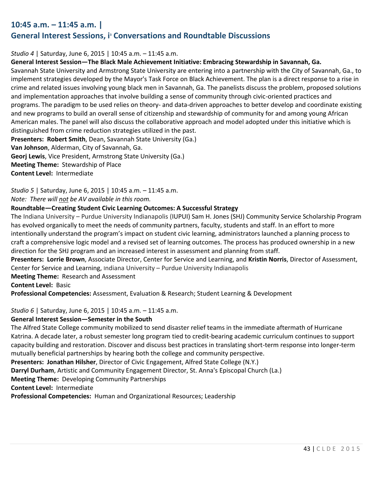# **10:45 a.m. – 11:45 a.m. |**

# **General Interest Sessions, i<sup>3</sup> Conversations and Roundtable Discussions**

#### *Studio 4* | Saturday, June 6, 2015 | 10:45 a.m. – 11:45 a.m.

#### **General Interest Session—The Black Male Achievement Initiative: Embracing Stewardship in Savannah, Ga.**

Savannah State University and Armstrong State University are entering into a partnership with the City of Savannah, Ga., to implement strategies developed by the Mayor's Task Force on Black Achievement. The plan is a direct response to a rise in crime and related issues involving young black men in Savannah, Ga. The panelists discuss the problem, proposed solutions and implementation approaches that involve building a sense of community through civic-oriented practices and programs. The paradigm to be used relies on theory- and data-driven approaches to better develop and coordinate existing and new programs to build an overall sense of citizenship and stewardship of community for and among young African American males. The panel will also discuss the collaborative approach and model adopted under this initiative which is distinguished from crime reduction strategies utilized in the past.

**Presenters: Robert Smith**, Dean, Savannah State University (Ga.)

**Van Johnson**, Alderman, City of Savannah, Ga.

**Georj Lewis**, Vice President, Armstrong State University (Ga.)

**Meeting Theme:** Stewardship of Place

**Content Level:** Intermediate

*Studio 5* | Saturday, June 6, 2015 | 10:45 a.m. – 11:45 a.m. *Note: There will not be AV available in this room.* 

#### **Roundtable—Creating Student Civic Learning Outcomes: A Successful Strategy**

The Indiana University – Purdue University Indianapolis (IUPUI) Sam H. Jones (SHJ) Community Service Scholarship Program has evolved organically to meet the needs of community partners, faculty, students and staff. In an effort to more intentionally understand the program's impact on student civic learning, administrators launched a planning process to craft a comprehensive logic model and a revised set of learning outcomes. The process has produced ownership in a new direction for the SHJ program and an increased interest in assessment and planning from staff.

**Presenters: Lorrie Brown**, Associate Director, Center for Service and Learning, and **Kristin Norris**, Director of Assessment, Center for Service and Learning, Indiana University – Purdue University Indianapolis

**Meeting Theme:** Research and Assessment

**Content Level:** Basic

**Professional Competencies:** Assessment, Evaluation & Research; Student Learning & Development

#### *Studio 6* | Saturday, June 6, 2015 | 10:45 a.m. – 11:45 a.m.

### **General Interest Session—Semester in the South**

The Alfred State College community mobilized to send disaster relief teams in the immediate aftermath of Hurricane Katrina. A decade later, a robust semester long program tied to credit-bearing academic curriculum continues to support capacity building and restoration. Discover and discuss best practices in translating short-term response into longer-term mutually beneficial partnerships by hearing both the college and community perspective.

**Presenters: Jonathan Hilsher**, Director of Civic Engagement, Alfred State College (N.Y.)

**Darryl Durham**, Artistic and Community Engagement Director, St. Anna's Episcopal Church (La.)

**Meeting Theme:** Developing Community Partnerships

**Content Level:** Intermediate

**Professional Competencies:** Human and Organizational Resources; Leadership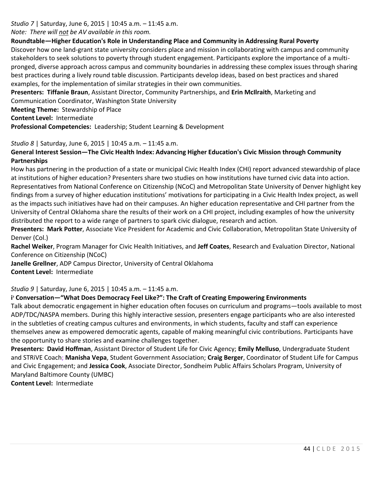# *Studio 7* | Saturday, June 6, 2015 | 10:45 a.m. – 11:45 a.m.

## *Note: There will not be AV available in this room.*

## **Roundtable—Higher Education's Role in Understanding Place and Community in Addressing Rural Poverty**

Discover how one land-grant state university considers place and mission in collaborating with campus and community stakeholders to seek solutions to poverty through student engagement. Participants explore the importance of a multipronged, diverse approach across campus and community boundaries in addressing these complex issues through sharing best practices during a lively round table discussion. Participants develop ideas, based on best practices and shared examples, for the implementation of similar strategies in their own communities.

**Presenters: Tiffanie Braun**, Assistant Director, Community Partnerships, and **Erin McIlraith**, Marketing and

Communication Coordinator, Washington State University

**Meeting Theme:** Stewardship of Place

**Content Level:** Intermediate

**Professional Competencies:** Leadership; Student Learning & Development

# *Studio 8* | Saturday, June 6, 2015 | 10:45 a.m. – 11:45 a.m.

# **General Interest Session—The Civic Health Index: Advancing Higher Education's Civic Mission through Community Partnerships**

How has partnering in the production of a state or municipal Civic Health Index (CHI) report advanced stewardship of place at institutions of higher education? Presenters share two studies on how institutions have turned civic data into action. Representatives from National Conference on Citizenship (NCoC) and Metropolitan State University of Denver highlight key findings from a survey of higher education institutions' motivations for participating in a Civic Health Index project, as well as the impacts such initiatives have had on their campuses. An higher education representative and CHI partner from the University of Central Oklahoma share the results of their work on a CHI project, including examples of how the university distributed the report to a wide range of partners to spark civic dialogue, research and action.

**Presenters: Mark Potter**, Associate Vice President for Academic and Civic Collaboration, Metropolitan State University of Denver (Col.)

**Rachel Weiker**, Program Manager for Civic Health Initiatives, and **Jeff Coates**, Research and Evaluation Director, National Conference on Citizenship (NCoC)

**Janelle Grellner**, ADP Campus Director, University of Central Oklahoma

**Content Level:** Intermediate

*Studio 9* | Saturday, June 6, 2015 | 10:45 a.m. – 11:45 a.m.

# **i <sup>3</sup> Conversation—"What Does Democracy Feel Like?": The Craft of Creating Empowering Environments**

Talk about democratic engagement in higher education often focuses on curriculum and programs—tools available to most ADP/TDC/NASPA members. During this highly interactive session, presenters engage participants who are also interested in the subtleties of creating campus cultures and environments, in which students, faculty and staff can experience themselves anew as empowered democratic agents, capable of making meaningful civic contributions. Participants have the opportunity to share stories and examine challenges together.

**Presenters: David Hoffman**, Assistant Director of Student Life for Civic Agency; **Emily Melluso**, Undergraduate Student and STRiVE Coach; **Manisha Vepa**, Student Government Association; **Craig Berger**, Coordinator of Student Life for Campus and Civic Engagement; and **Jessica Cook**, Associate Director, Sondheim Public Affairs Scholars Program, University of Maryland Baltimore County (UMBC)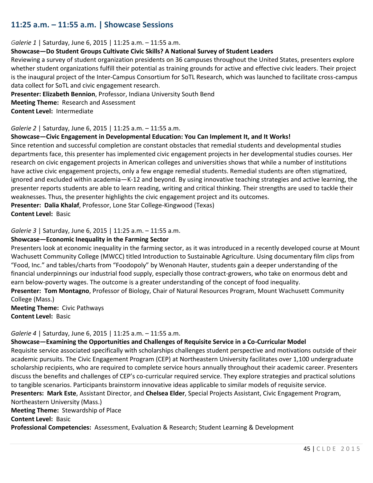# **11:25 a.m. – 11:55 a.m. | Showcase Sessions**

#### *Galerie 1* | Saturday, June 6, 2015 | 11:25 a.m. – 11:55 a.m.

### **Showcase—Do Student Groups Cultivate Civic Skills? A National Survey of Student Leaders**

Reviewing a survey of student organization presidents on 36 campuses throughout the United States, presenters explore whether student organizations fulfill their potential as training grounds for active and effective civic leaders. Their project is the inaugural project of the Inter-Campus Consortium for SoTL Research, which was launched to facilitate cross-campus data collect for SoTL and civic engagement research.

**Presenter: Elizabeth Bennion**, Professor, Indiana University South Bend **Meeting Theme:** Research and Assessment **Content Level:** Intermediate

#### *Galerie 2* | Saturday, June 6, 2015 | 11:25 a.m. – 11:55 a.m.

#### **Showcase—Civic Engagement in Developmental Education: You Can Implement It, and It Works!**

Since retention and successful completion are constant obstacles that remedial students and developmental studies departments face, this presenter has implemented civic engagement projects in her developmental studies courses. Her research on civic engagement projects in American colleges and universities shows that while a number of institutions have active civic engagement projects, only a few engage remedial students. Remedial students are often stigmatized, ignored and excluded within academia—K-12 and beyond. By using innovative teaching strategies and active learning, the presenter reports students are able to learn reading, writing and critical thinking. Their strengths are used to tackle their weaknesses. Thus, the presenter highlights the civic engagement project and its outcomes.

**Presenter: Dalia Khalaf**, Professor, Lone Star College-Kingwood (Texas) **Content Level:** Basic

#### *Galerie 3* | Saturday, June 6, 2015 | 11:25 a.m. – 11:55 a.m.

#### **Showcase—Economic Inequality in the Farming Sector**

Presenters look at economic inequality in the farming sector, as it was introduced in a recently developed course at Mount Wachusett Community College (MWCC) titled Introduction to Sustainable Agriculture. Using documentary film clips from "Food, Inc." and tables/charts from "Foodopoly" by Wenonah Hauter, students gain a deeper understanding of the financial underpinnings our industrial food supply, especially those contract-growers, who take on enormous debt and earn below-poverty wages. The outcome is a greater understanding of the concept of food inequality.

**Presenter: Tom Montagno**, Professor of Biology, Chair of Natural Resources Program, Mount Wachusett Community College (Mass.)

**Meeting Theme:** Civic Pathways **Content Level:** Basic

#### *Galerie 4* | Saturday, June 6, 2015 | 11:25 a.m. – 11:55 a.m.

#### **Showcase—Examining the Opportunities and Challenges of Requisite Service in a Co-Curricular Model**

Requisite service associated specifically with scholarships challenges student perspective and motivations outside of their academic pursuits. The Civic Engagement Program (CEP) at Northeastern University facilitates over 1,100 undergraduate scholarship recipients, who are required to complete service hours annually throughout their academic career. Presenters discuss the benefits and challenges of CEP's co-curricular required service. They explore strategies and practical solutions to tangible scenarios. Participants brainstorm innovative ideas applicable to similar models of requisite service.

**Presenters: Mark Este**, Assistant Director, and **Chelsea Elder**, Special Projects Assistant, Civic Engagement Program,

Northeastern University (Mass.)

**Meeting Theme:** Stewardship of Place

**Content Level:** Basic

**Professional Competencies:** Assessment, Evaluation & Research; Student Learning & Development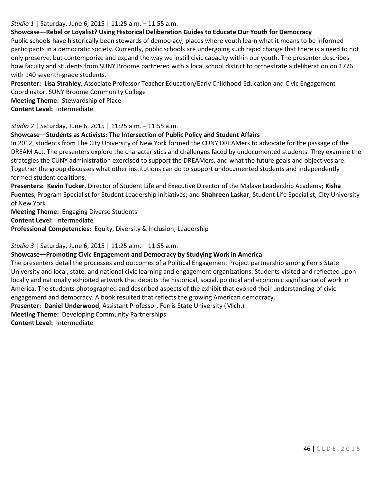### *Studio 1* | Saturday, June 6, 2015 | 11:25 a.m. – 11:55 a.m.

## **Showcase—Rebel or Loyalist? Using Historical Deliberation Guides to Educate Our Youth for Democracy**

Public schools have historically been stewards of democracy; places where youth learn what it means to be informed participants in a democratic society. Currently, public schools are undergoing such rapid change that there is a need to not only preserve, but contemporize and expand the way we instill civic capacity within our youth. The presenter describes how faculty and students from SUNY Broome partnered with a local school district to orchestrate a deliberation on 1776 with 140 seventh-grade students.

**Presenter: Lisa Strahley**, Associate Professor Teacher Education/Early Childhood Education and Civic Engagement Coordinator, SUNY Broome Community College **Meeting Theme:** Stewardship of Place

**Content Level:** Intermediate

#### *Studio 2* | Saturday, June 6, 2015 | 11:25 a.m. – 11:55 a.m.

### **Showcase—Students as Activists: The Intersection of Public Policy and Student Affairs**

In 2012, students from The City University of New York formed the CUNY DREAMers to advocate for the passage of the DREAM Act. The presenters explore the characteristics and challenges faced by undocumented students. They examine the strategies the CUNY administration exercised to support the DREAMers, and what the future goals and objectives are. Together the group discusses what other institutions can do to support undocumented students and independently formed student coalitions.

**Presenters: Kevin Tucker**, Director of Student Life and Executive Director of the Malave Leadership Academy; **Kisha Fuentes**, Program Specialist for Student Leadership Initiatives; and **Shahreen Laskar**, Student Life Specialist, City University of New York

**Meeting Theme:** Engaging Diverse Students

**Content Level:** Intermediate

**Professional Competencies:** Equity, Diversity & Inclusion; Leadership

### *Studio 3* | Saturday, June 6, 2015 | 11:25 a.m. – 11:55 a.m.

### **Showcase—Promoting Civic Engagement and Democracy by Studying Work in America**

The presenters detail the processes and outcomes of a Political Engagement Project partnership among Ferris State University and local, state, and national civic learning and engagement organizations. Students visited and reflected upon locally and nationally exhibited artwork that depicts the historical, social, political and economic significance of work in America. The students photographed and described aspects of the exhibit that evoked their understanding of civic engagement and democracy. A book resulted that reflects the growing American democracy.

**Presenter: Daniel Underwood**, Assistant Professor, Ferris State University (Mich.)

**Meeting Theme:** Developing Community Partnerships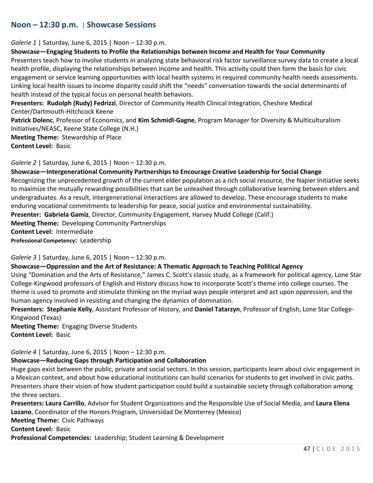# **Noon – 12:30 p.m.** | **Showcase Sessions**

#### *Galerie 1* | Saturday, June 6, 2015 | Noon – 12:30 p.m.

#### **Showcase—Engaging Students to Profile the Relationships between Income and Health for Your Community**

Presenters teach how to involve students in analyzing state behavioral risk factor surveillance survey data to create a local health profile, displaying the relationships between income and health. This activity could then form the basis for civic engagement or service learning opportunities with local health systems in required community health needs assessments. Linking local health issues to income disparity could shift the "needs" conversation towards the social determinants of health instead of the typical focus on personal health behaviors.

**Presenters: Rudolph (Rudy) Fedrizzi**, Director of Community Health Clinical Integration, Cheshire Medical Center/Dartmouth-Hitchcock Keene

**Patrick Dolenc**, Professor of Economics, and **Kim Schmidl-Gagne**, Program Manager for Diversity & Multiculturalism Initiatives/NEASC, Keene State College (N.H.)

**Meeting Theme:** Stewardship of Place **Content Level:** Basic

#### *Galerie 2* | Saturday, June 6, 2015 | Noon – 12:30 p.m.

**Showcase—Intergenerational Community Partnerships to Encourage Creative Leadership for Social Change** Recognizing the unprecedented growth of the current elder population as a rich social resource, the Napier Initiative seeks to maximize the mutually rewarding possibilities that can be unleashed through collaborative learning between elders and undergraduates. As a result, intergenerational interactions are allowed to develop. These encourage students to make enduring vocational commitments to leadership for peace, social justice and environmental sustainability. **Presenter: Gabriela Gamiz**, Director, Community Engagement, Harvey Mudd College (Calif.)

**Meeting Theme:** Developing Community Partnerships

**Content Level:** Intermediate

**Professional Competency:** Leadership

*Galerie 3* | Saturday, June 6, 2015 | Noon – 12:30 p.m.

### **Showcase—Oppression and the Art of Resistance: A Thematic Approach to Teaching Political Agency**

Using "Domination and the Arts of Resistance," James C. Scott's classic study, as a framework for political agency, Lone Star College-Kingwood professors of English and History discuss how to incorporate Scott's theme into college courses. The theme is used to promote and stimulate thinking on the myriad ways people interpret and act upon oppression, and the human agency involved in resisting and changing the dynamics of domination.

**Presenters: Stephanie Kelly**, Assistant Professor of History, and **Daniel Tatarzyn**, Professor of English, Lone Star College-Kingwood (Texas)

**Meeting Theme:** Engaging Diverse Students **Content Level:** Basic

*Galerie 4* | Saturday, June 6, 2015 | Noon – 12:30 p.m.

### **Showcase—Reducing Gaps through Participation and Collaboration**

Huge gaps exist between the public, private and social sectors. In this session, participants learn about civic engagement in a Mexican context, and about how educational institutions can build scenarios for students to get involved in civic paths. Presenters share their vision of how student participation could build a sustainable society through collaboration among the three sectors.

**Presenters: Laura Carrillo**, Advisor for Student Organizations and the Responsible Use of Social Media, and **Laura Elena Lozano**, Coordinator of the Honors Program, Universidad De Monterrey (Mexico)

**Meeting Theme:** Civic Pathways

**Content Level:** Basic

**Professional Competencies:** Leadership; Student Learning & Development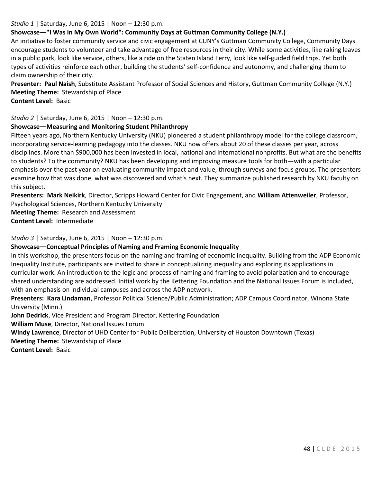## *Studio 1* | Saturday, June 6, 2015 | Noon – 12:30 p.m.

# **Showcase—"I Was in My Own World": Community Days at Guttman Community College (N.Y.)**

An initiative to foster community service and civic engagement at CUNY's Guttman Community College, Community Days encourage students to volunteer and take advantage of free resources in their city. While some activities, like raking leaves in a public park, look like service, others, like a ride on the Staten Island Ferry, look like self-guided field trips. Yet both types of activities reinforce each other, building the students' self-confidence and autonomy, and challenging them to claim ownership of their city.

**Presenter: Paul Naish**, Substitute Assistant Professor of Social Sciences and History, Guttman Community College (N.Y.) **Meeting Theme:** Stewardship of Place

**Content Level:** Basic

*Studio 2* | Saturday, June 6, 2015 | Noon – 12:30 p.m.

## **Showcase—Measuring and Monitoring Student Philanthropy**

Fifteen years ago, Northern Kentucky University (NKU) pioneered a student philanthropy model for the college classroom, incorporating service-learning pedagogy into the classes. NKU now offers about 20 of these classes per year, across disciplines. More than \$900,000 has been invested in local, national and international nonprofits. But what are the benefits to students? To the community? NKU has been developing and improving measure tools for both—with a particular emphasis over the past year on evaluating community impact and value, through surveys and focus groups. The presenters examine how that was done, what was discovered and what's next. They summarize published research by NKU faculty on this subject.

**Presenters: Mark Neikirk**, Director, Scripps Howard Center for Civic Engagement, and **William Attenweiler**, Professor, Psychological Sciences, Northern Kentucky University

**Meeting Theme:** Research and Assessment **Content Level:** Intermediate

*Studio 3* | Saturday, June 6, 2015 | Noon – 12:30 p.m.

# **Showcase—Conceptual Principles of Naming and Framing Economic Inequality**

In this workshop, the presenters focus on the naming and framing of economic inequality. Building from the ADP Economic Inequality Institute, participants are invited to share in conceptualizing inequality and exploring its applications in curricular work. An introduction to the logic and process of naming and framing to avoid polarization and to encourage shared understanding are addressed. Initial work by the Kettering Foundation and the National Issues Forum is included, with an emphasis on individual campuses and across the ADP network.

**Presenters: Kara Lindaman**, Professor Political Science/Public Administration; ADP Campus Coordinator, Winona State University (Minn.)

**John Dedrick**, Vice President and Program Director, Kettering Foundation

**William Muse**, Director, National Issues Forum

**Windy Lawrence**, Director of UHD Center for Public Deliberation, University of Houston Downtown (Texas)

**Meeting Theme:** Stewardship of Place

**Content Level:** Basic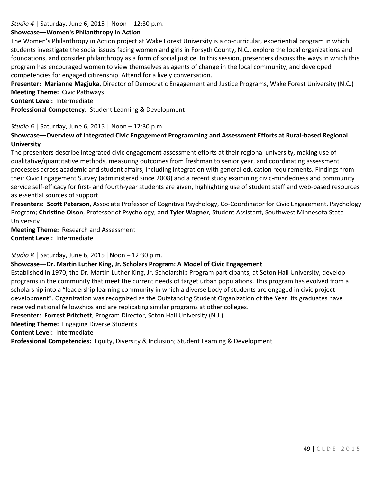## *Studio 4* | Saturday, June 6, 2015 | Noon – 12:30 p.m.

#### **Showcase—Women's Philanthropy in Action**

The Women's Philanthropy in Action project at Wake Forest University is a co-curricular, experiential program in which students investigate the social issues facing women and girls in Forsyth County, N.C., explore the local organizations and foundations, and consider philanthropy as a form of social justice. In this session, presenters discuss the ways in which this program has encouraged women to view themselves as agents of change in the local community, and developed competencies for engaged citizenship. Attend for a lively conversation.

**Presenter: Marianne Magjuka**, Director of Democratic Engagement and Justice Programs, Wake Forest University (N.C.) **Meeting Theme:** Civic Pathways

**Content Level:** Intermediate

**Professional Competency:** Student Learning & Development

#### *Studio 6* | Saturday, June 6, 2015 | Noon – 12:30 p.m.

# **Showcase—Overview of Integrated Civic Engagement Programming and Assessment Efforts at Rural-based Regional University**

The presenters describe integrated civic engagement assessment efforts at their regional university, making use of qualitative/quantitative methods, measuring outcomes from freshman to senior year, and coordinating assessment processes across academic and student affairs, including integration with general education requirements. Findings from their Civic Engagement Survey (administered since 2008) and a recent study examining civic-mindedness and community service self-efficacy for first- and fourth-year students are given, highlighting use of student staff and web-based resources as essential sources of support.

**Presenters: Scott Peterson**, Associate Professor of Cognitive Psychology, Co-Coordinator for Civic Engagement, Psychology Program; **Christine Olson**, Professor of Psychology; and **Tyler Wagner**, Student Assistant, Southwest Minnesota State University

**Meeting Theme:** Research and Assessment **Content Level:** Intermediate

*Studio 8* | Saturday, June 6, 2015 |Noon – 12:30 p.m.

### **Showcase—Dr. Martin Luther King, Jr. Scholars Program: A Model of Civic Engagement**

Established in 1970, the Dr. Martin Luther King, Jr. Scholarship Program participants, at Seton Hall University, develop programs in the community that meet the current needs of target urban populations. This program has evolved from a scholarship into a "leadership learning community in which a diverse body of students are engaged in civic project development". Organization was recognized as the Outstanding Student Organization of the Year. Its graduates have received national fellowships and are replicating similar programs at other colleges.

**Presenter: Forrest Pritchett**, Program Director, Seton Hall University (N.J.)

**Meeting Theme:** Engaging Diverse Students

**Content Level:** Intermediate

**Professional Competencies:** Equity, Diversity & Inclusion; Student Learning & Development